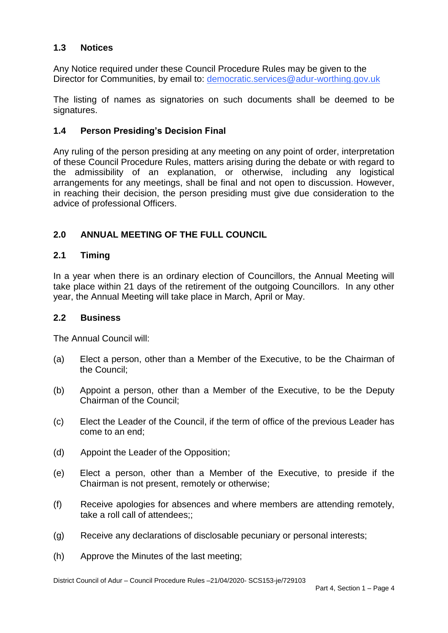#### $1.3$ **1.3 Notices**

 Any Notice required under these Council Procedure Rules may be given to the Director for Communities, by email to: democratic.services@adur-worthing.gov.uk

 The listing of names as signatories on such documents shall be deemed to be signatures.

# **1.4 Person Presiding's Decision Final**

 Any ruling of the person presiding at any meeting on any point of order, interpretation of these Council Procedure Rules, matters arising during the debate or with regard to the admissibility of an explanation, or otherwise, including any logistical arrangements for any meetings, shall be final and not open to discussion. However, in reaching their decision, the person presiding must give due consideration to the advice of professional Officers.

# **2.0 ANNUAL MEETING OF THE FULL COUNCIL**

#### $2.1$ **2.1 Timing**

 In a year when there is an ordinary election of Councillors, the Annual Meeting will take place within 21 days of the retirement of the outgoing Councillors. In any other year, the Annual Meeting will take place in March, April or May.

# **2.2 Business**

The Annual Council will:

- $(a)$ Elect a person, other than a Member of the Executive, to be the Chairman of the Council;
- $(b)$ Appoint a person, other than a Member of the Executive, to be the Deputy Chairman of the Council;
- $(c)$  come to an end; Elect the Leader of the Council, if the term of office of the previous Leader has
- (d) Appoint the Leader of the Opposition;
- $(e)$ Elect a person, other than a Member of the Executive, to preside if the Chairman is not present, remotely or otherwise;
- (f) Receive apologies for absences and where members are attending remotely, take a roll call of attendees::
- (g) Receive any declarations of disclosable pecuniary or personal interests;
- (h) Approve the Minutes of the last meeting;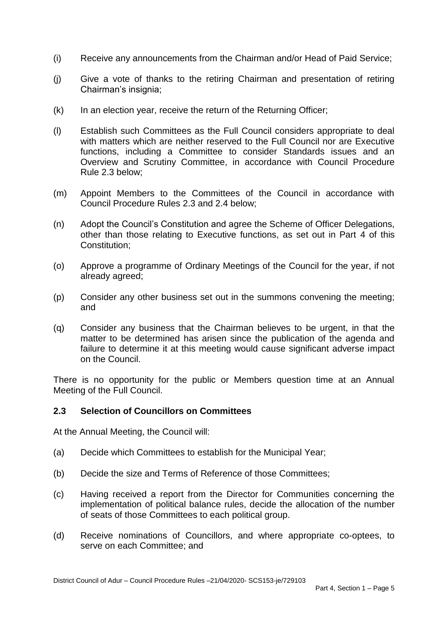- (i) Receive any announcements from the Chairman and/or Head of Paid Service;
- $(i)$ Give a vote of thanks to the retiring Chairman and presentation of retiring Chairman's insignia;
- (k) In an election year, receive the return of the Returning Officer;
- (l) Establish such Committees as the Full Council considers appropriate to deal with matters which are neither reserved to the Full Council nor are Executive functions, including a Committee to consider Standards issues and an Overview and Scrutiny Committee, in accordance with Council Procedure Rule 2.3 below;
- (m) Appoint Members to the Committees of the Council in accordance with Council Procedure Rules 2.3 and 2.4 below;
- other than those relating to Executive functions, as set out in Part 4 of this (n) Adopt the Council's Constitution and agree the Scheme of Officer Delegations, Constitution;
- (o) Approve a programme of Ordinary Meetings of the Council for the year, if not already agreed;
- (p) Consider any other business set out in the summons convening the meeting; and
- (q) Consider any business that the Chairman believes to be urgent, in that the matter to be determined has arisen since the publication of the agenda and failure to determine it at this meeting would cause significant adverse impact on the Council.

 There is no opportunity for the public or Members question time at an Annual Meeting of the Full Council.

## **2.3 Selection of Councillors on Committees**

At the Annual Meeting, the Council will:

- (a) Decide which Committees to establish for the Municipal Year;
- (b) Decide the size and Terms of Reference of those Committees;
- $(c)$  implementation of political balance rules, decide the allocation of the number Having received a report from the Director for Communities concerning the of seats of those Committees to each political group.
- (d) Receive nominations of Councillors, and where appropriate co-optees, to serve on each Committee; and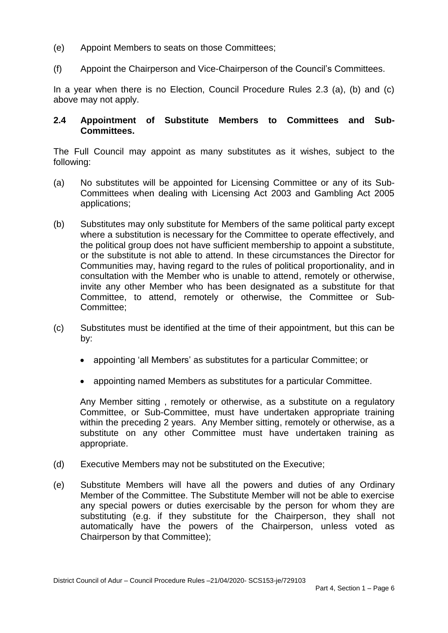- $(e)$ Appoint Members to seats on those Committees:
- (f) Appoint the Chairperson and Vice-Chairperson of the Council's Committees.

 In a year when there is no Election, Council Procedure Rules 2.3 (a), (b) and (c) above may not apply.

## **2.4 Appointment of Substitute Members to Committees and Sub-Committees.**

 The Full Council may appoint as many substitutes as it wishes, subject to the following:

- (a) No substitutes will be appointed for Licensing Committee or any of its Sub- Committees when dealing with Licensing Act 2003 and Gambling Act 2005 applications;
- (b) Substitutes may only substitute for Members of the same political party except where a substitution is necessary for the Committee to operate effectively, and or the substitute is not able to attend. In these circumstances the Director for Communities may, having regard to the rules of political proportionality, and in consultation with the Member who is unable to attend, remotely or otherwise, invite any other Member who has been designated as a substitute for that Committee, to attend, remotely or otherwise, the Committee or Subthe political group does not have sufficient membership to appoint a substitute, Committee;
- (c) Substitutes must be identified at the time of their appointment, but this can be by:
	- appointing 'all Members' as substitutes for a particular Committee; or
	- appointing named Members as substitutes for a particular Committee.

 Any Member sitting , remotely or otherwise, as a substitute on a regulatory Committee, or Sub-Committee, must have undertaken appropriate training within the preceding 2 years. Any Member sitting, remotely or otherwise, as a substitute on any other Committee must have undertaken training as appropriate.

- (d) Executive Members may not be substituted on the Executive;
- (e) Substitute Members will have all the powers and duties of any Ordinary Member of the Committee. The Substitute Member will not be able to exercise any special powers or duties exercisable by the person for whom they are substituting (e.g. if they substitute for the Chairperson, they shall not automatically have the powers of the Chairperson, unless voted as Chairperson by that Committee);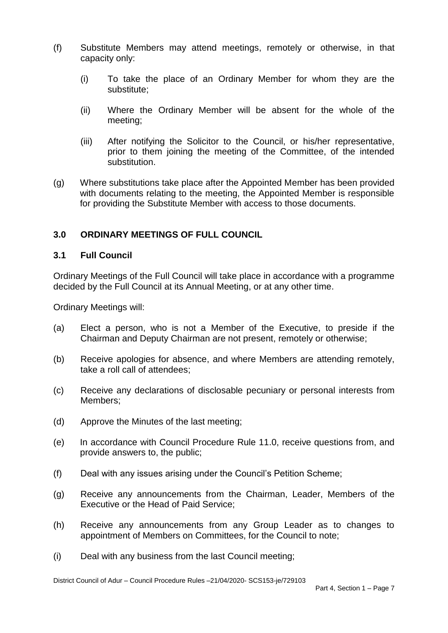- (f) Substitute Members may attend meetings, remotely or otherwise, in that capacity only:
	- $(i)$ To take the place of an Ordinary Member for whom they are the substitute;
	- (ii) Where the Ordinary Member will be absent for the whole of the meeting;
	- (iii) After notifying the Solicitor to the Council, or his/her representative, prior to them joining the meeting of the Committee, of the intended substitution.
- with documents relating to the meeting, the Appointed Member is responsible (g) Where substitutions take place after the Appointed Member has been provided for providing the Substitute Member with access to those documents.

# **3.0 ORDINARY MEETINGS OF FULL COUNCIL**

## **3.1 Full Council**

Ordinary Meetings of the Full Council will take place in accordance with a programme decided by the Full Council at its Annual Meeting, or at any other time.

Ordinary Meetings will:

- $(a)$ Elect a person, who is not a Member of the Executive, to preside if the Chairman and Deputy Chairman are not present, remotely or otherwise;
- (b) Receive apologies for absence, and where Members are attending remotely, take a roll call of attendees;
- (c) Receive any declarations of disclosable pecuniary or personal interests from Members;
- (d) Approve the Minutes of the last meeting;
- $(e)$ In accordance with Council Procedure Rule 11.0, receive questions from, and provide answers to, the public;
- (f) Deal with any issues arising under the Council's Petition Scheme;
- (g) Receive any announcements from the Chairman, Leader, Members of the Executive or the Head of Paid Service;
- (h) Receive any announcements from any Group Leader as to changes to appointment of Members on Committees, for the Council to note;
- (i) Deal with any business from the last Council meeting;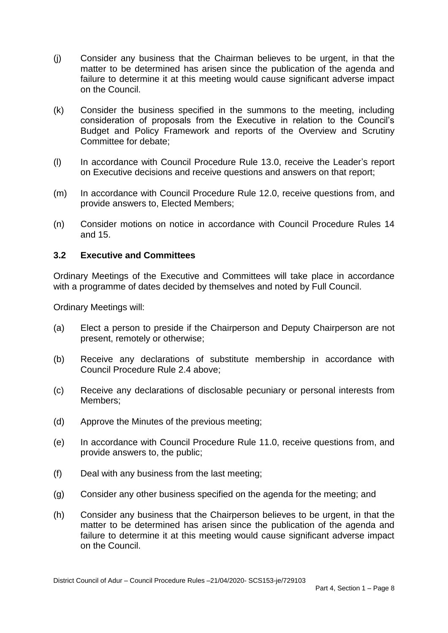- (j) Consider any business that the Chairman believes to be urgent, in that the matter to be determined has arisen since the publication of the agenda and failure to determine it at this meeting would cause significant adverse impact on the Council.
- (k) Consider the business specified in the summons to the meeting, including consideration of proposals from the Executive in relation to the Council's Budget and Policy Framework and reports of the Overview and Scrutiny Committee for debate;
- $(1)$  on Executive decisions and receive questions and answers on that report; In accordance with Council Procedure Rule 13.0, receive the Leader's report
- $(m)$ In accordance with Council Procedure Rule 12.0, receive questions from, and provide answers to, Elected Members;
- (n) Consider motions on notice in accordance with Council Procedure Rules 14 and 15.

## **3.2 Executive and Committees**

 Ordinary Meetings of the Executive and Committees will take place in accordance with a programme of dates decided by themselves and noted by Full Council.

Ordinary Meetings will:

- $(a)$ Elect a person to preside if the Chairperson and Deputy Chairperson are not present, remotely or otherwise;
- (b) Receive any declarations of substitute membership in accordance with Council Procedure Rule 2.4 above;
- (c) Receive any declarations of disclosable pecuniary or personal interests from Members;
- (d) Approve the Minutes of the previous meeting;
- $(e)$ In accordance with Council Procedure Rule 11.0, receive questions from, and provide answers to, the public;
- (f) Deal with any business from the last meeting;
- (g) Consider any other business specified on the agenda for the meeting; and
- (h) Consider any business that the Chairperson believes to be urgent, in that the matter to be determined has arisen since the publication of the agenda and failure to determine it at this meeting would cause significant adverse impact on the Council.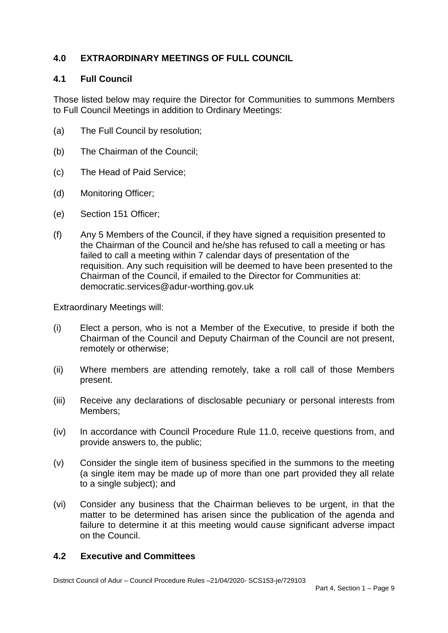# **4.0 EXTRAORDINARY MEETINGS OF FULL COUNCIL**

# **4.1 Full Council**

 Those listed below may require the Director for Communities to summons Members to Full Council Meetings in addition to Ordinary Meetings:

- (a) The Full Council by resolution;
- $(b)$ The Chairman of the Council;
- $(c)$ The Head of Paid Service;
- (d) Monitoring Officer;
- (e) Section 151 Officer;
- $(f)$  the Chairman of the Council and he/she has refused to call a meeting or has failed to call a meeting within 7 calendar days of presentation of the requisition. Any such requisition will be deemed to have been presented to the Any 5 Members of the Council, if they have signed a requisition presented to Chairman of the Council, if emailed to the Director for Communities at: democratic.services@adur-worthing.gov.uk

Extraordinary Meetings will:

- $(i)$  Chairman of the Council and Deputy Chairman of the Council are not present, Elect a person, who is not a Member of the Executive, to preside if both the remotely or otherwise;
- (ii) Where members are attending remotely, take a roll call of those Members present.
- $(iii)$ Receive any declarations of disclosable pecuniary or personal interests from Members;
- $(iv)$ In accordance with Council Procedure Rule 11.0, receive questions from, and provide answers to, the public;
- (v) Consider the single item of business specified in the summons to the meeting (a single item may be made up of more than one part provided they all relate to a single subject); and
- (vi) Consider any business that the Chairman believes to be urgent, in that the matter to be determined has arisen since the publication of the agenda and failure to determine it at this meeting would cause significant adverse impact on the Council.

#### **4.2 Executive and Committees**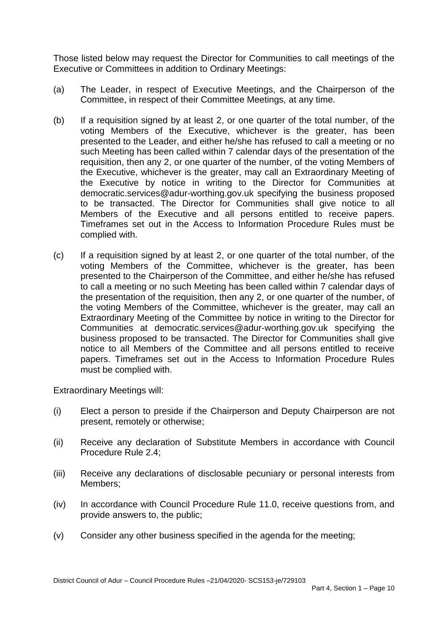Those listed below may request the Director for Communities to call meetings of the Executive or Committees in addition to Ordinary Meetings:

- $(a)$ The Leader, in respect of Executive Meetings, and the Chairperson of the Committee, in respect of their Committee Meetings, at any time.
- $(b)$  voting Members of the Executive, whichever is the greater, has been presented to the Leader, and either he/she has refused to call a meeting or no such Meeting has been called within 7 calendar days of the presentation of the requisition, then any 2, or one quarter of the number, of the voting Members of the Executive, whichever is the greater, may call an Extraordinary Meeting of the Executive by notice in writing to the Director for Communities at democratic.services@adur-worthing.gov.uk specifying the business proposed to be transacted. The Director for Communities shall give notice to all Members of the Executive and all persons entitled to receive papers. Timeframes set out in the Access to Information Procedure Rules must be If a requisition signed by at least 2, or one quarter of the total number, of the complied with.
- $(c)$  voting Members of the Committee, whichever is the greater, has been presented to the Chairperson of the Committee, and either he/she has refused to call a meeting or no such Meeting has been called within 7 calendar days of the presentation of the requisition, then any 2, or one quarter of the number, of the voting Members of the Committee, whichever is the greater, may call an Extraordinary Meeting of the Committee by notice in writing to the Director for Communities at democratic.services@adur-worthing.gov.uk specifying the business proposed to be transacted. The Director for Communities shall give notice to all Members of the Committee and all persons entitled to receive papers. Timeframes set out in the Access to Information Procedure Rules If a requisition signed by at least 2, or one quarter of the total number, of the must be complied with.

Extraordinary Meetings will:

- $(i)$ Elect a person to preside if the Chairperson and Deputy Chairperson are not present, remotely or otherwise;
- (ii) Receive any declaration of Substitute Members in accordance with Council Procedure Rule 2.4;
- $(iii)$ Receive any declarations of disclosable pecuniary or personal interests from Members;
- $(iv)$ In accordance with Council Procedure Rule 11.0, receive questions from, and provide answers to, the public;
- (v) Consider any other business specified in the agenda for the meeting;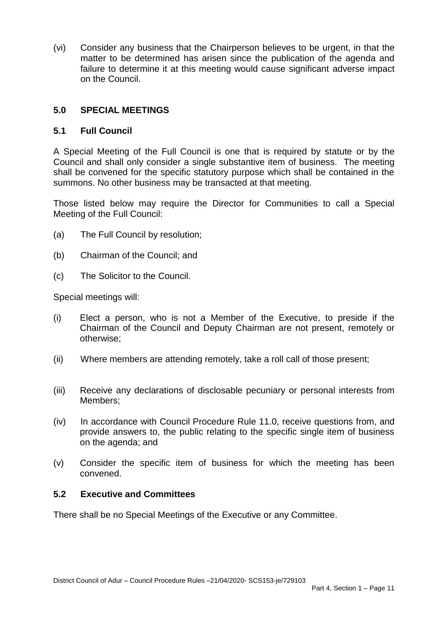(vi) Consider any business that the Chairperson believes to be urgent, in that the matter to be determined has arisen since the publication of the agenda and failure to determine it at this meeting would cause significant adverse impact on the Council.

# **5.0 SPECIAL MEETINGS**

# **5.1 Full Council**

 A Special Meeting of the Full Council is one that is required by statute or by the Council and shall only consider a single substantive item of business. The meeting shall be convened for the specific statutory purpose which shall be contained in the summons. No other business may be transacted at that meeting.

 Those listed below may require the Director for Communities to call a Special Meeting of the Full Council:

- (a) The Full Council by resolution;
- (b) Chairman of the Council; and
- $(c)$ The Solicitor to the Council.

Special meetings will:

- $(i)$  Chairman of the Council and Deputy Chairman are not present, remotely or Elect a person, who is not a Member of the Executive, to preside if the otherwise;
- (ii) Where members are attending remotely, take a roll call of those present;
- $(iii)$ Members: Receive any declarations of disclosable pecuniary or personal interests from
- $(iv)$  provide answers to, the public relating to the specific single item of business In accordance with Council Procedure Rule 11.0, receive questions from, and on the agenda; and
- (v) Consider the specific item of business for which the meeting has been convened.

## **5.2 Executive and Committees**

There shall be no Special Meetings of the Executive or any Committee.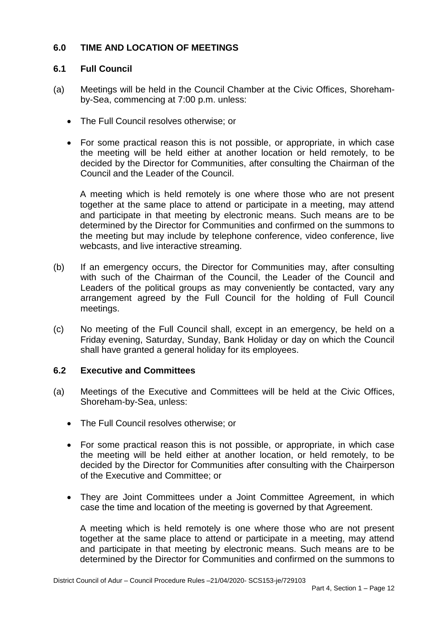# **6.0 TIME AND LOCATION OF MEETINGS**

## **6.1 Full Council**

- (a) Meetings will be held in the Council Chamber at the Civic Offices, Shorehamby-Sea, commencing at 7:00 p.m. unless:
	- The Full Council resolves otherwise; or
	- the meeting will be held either at another location or held remotely, to be decided by the Director for Communities, after consulting the Chairman of the Council and the Leader of the Council. For some practical reason this is not possible, or appropriate, in which case

 A meeting which is held remotely is one where those who are not present together at the same place to attend or participate in a meeting, may attend and participate in that meeting by electronic means. Such means are to be determined by the Director for Communities and confirmed on the summons to the meeting but may include by telephone conference, video conference, live webcasts, and live interactive streaming.

- $(b)$  with such of the Chairman of the Council, the Leader of the Council and Leaders of the political groups as may conveniently be contacted, vary any arrangement agreed by the Full Council for the holding of Full Council If an emergency occurs, the Director for Communities may, after consulting meetings.
- (c) No meeting of the Full Council shall, except in an emergency, be held on a Friday evening, Saturday, Sunday, Bank Holiday or day on which the Council shall have granted a general holiday for its employees.

## **6.2 Executive and Committees**

- (a) Meetings of the Executive and Committees will be held at the Civic Offices, Shoreham-by-Sea, unless:
	- The Full Council resolves otherwise; or
	- the meeting will be held either at another location, or held remotely, to be decided by the Director for Communities after consulting with the Chairperson of the Executive and Committee; or For some practical reason this is not possible, or appropriate, in which case
	- They are Joint Committees under a Joint Committee Agreement, in which case the time and location of the meeting is governed by that Agreement.

 A meeting which is held remotely is one where those who are not present together at the same place to attend or participate in a meeting, may attend and participate in that meeting by electronic means. Such means are to be determined by the Director for Communities and confirmed on the summons to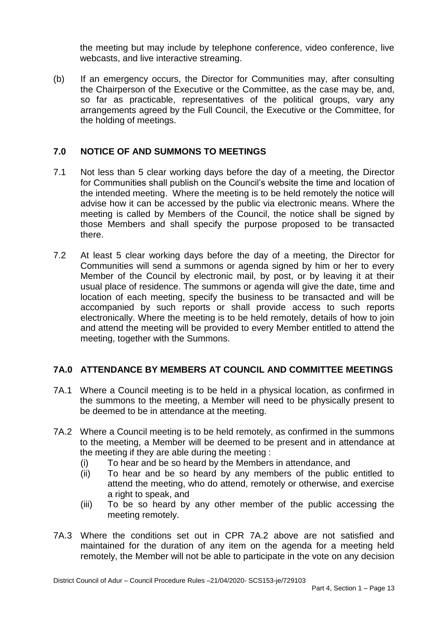the meeting but may include by telephone conference, video conference, live webcasts, and live interactive streaming.

 $(b)$  the Chairperson of the Executive or the Committee, as the case may be, and, so far as practicable, representatives of the political groups, vary any arrangements agreed by the Full Council, the Executive or the Committee, for If an emergency occurs, the Director for Communities may, after consulting the holding of meetings.

# **7.0 NOTICE OF AND SUMMONS TO MEETINGS**

- $7.1$  the intended meeting. Where the meeting is to be held remotely the notice will advise how it can be accessed by the public via electronic means. Where the meeting is called by Members of the Council, the notice shall be signed by those Members and shall specify the purpose proposed to be transacted Not less than 5 clear working days before the day of a meeting, the Director for Communities shall publish on the Council's website the time and location of there.
- 7.2 At least 5 clear working days before the day of a meeting, the Director for Communities will send a summons or agenda signed by him or her to every Member of the Council by electronic mail, by post, or by leaving it at their usual place of residence. The summons or agenda will give the date, time and location of each meeting, specify the business to be transacted and will be accompanied by such reports or shall provide access to such reports electronically. Where the meeting is to be held remotely, details of how to join and attend the meeting will be provided to every Member entitled to attend the meeting, together with the Summons.

# **7A.0 ATTENDANCE BY MEMBERS AT COUNCIL AND COMMITTEE MEETINGS**

- 7A.1 Where a Council meeting is to be held in a physical location, as confirmed in the summons to the meeting, a Member will need to be physically present to be deemed to be in attendance at the meeting.
- 7A.2 Where a Council meeting is to be held remotely, as confirmed in the summons to the meeting, a Member will be deemed to be present and in attendance at the meeting if they are able during the meeting :
	- (i) To hear and be so heard by the Members in attendance, and
	- $(ii)$  attend the meeting, who do attend, remotely or otherwise, and exercise a right to speak, and To hear and be so heard by any members of the public entitled to
	- $(iii)$ To be so heard by any other member of the public accessing the meeting remotely.
- 7A.3 Where the conditions set out in CPR 7A.2 above are not satisfied and maintained for the duration of any item on the agenda for a meeting held remotely, the Member will not be able to participate in the vote on any decision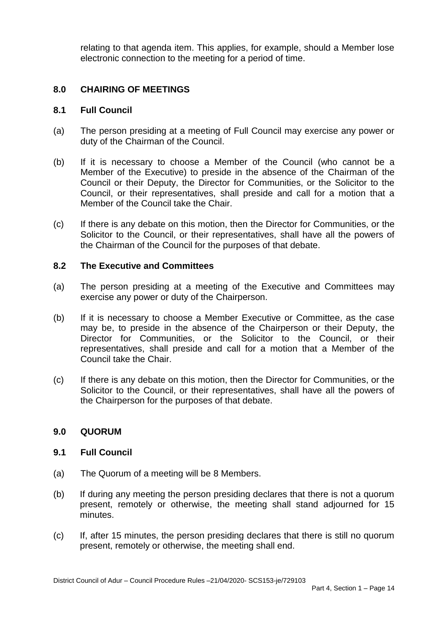relating to that agenda item. This applies, for example, should a Member lose electronic connection to the meeting for a period of time.

#### **8.0 CHAIRING OF MEETINGS**

#### **8.1 Full Council**

- $(a)$ The person presiding at a meeting of Full Council may exercise any power or duty of the Chairman of the Council.
- $(b)$  Member of the Executive) to preside in the absence of the Chairman of the Council or their Deputy, the Director for Communities, or the Solicitor to the Council, or their representatives, shall preside and call for a motion that a Member of the Council take the Chair. If it is necessary to choose a Member of the Council (who cannot be a
- $(c)$  Solicitor to the Council, or their representatives, shall have all the powers of If there is any debate on this motion, then the Director for Communities, or the the Chairman of the Council for the purposes of that debate.

#### **8.2 The Executive and Committees**

- $(a)$ The person presiding at a meeting of the Executive and Committees may exercise any power or duty of the Chairperson.
- $(b)$  may be, to preside in the absence of the Chairperson or their Deputy, the Director for Communities, or the Solicitor to the Council, or their representatives, shall preside and call for a motion that a Member of the If it is necessary to choose a Member Executive or Committee, as the case Council take the Chair.
- $(c)$  Solicitor to the Council, or their representatives, shall have all the powers of If there is any debate on this motion, then the Director for Communities, or the the Chairperson for the purposes of that debate.

## **9.0 QUORUM**

#### **9.1 Full Council**

- (a) The Quorum of a meeting will be 8 Members.
- $(b)$  present, remotely or otherwise, the meeting shall stand adjourned for 15 If during any meeting the person presiding declares that there is not a quorum minutes.
- (c) If, after 15 minutes, the person presiding declares that there is still no quorum present, remotely or otherwise, the meeting shall end.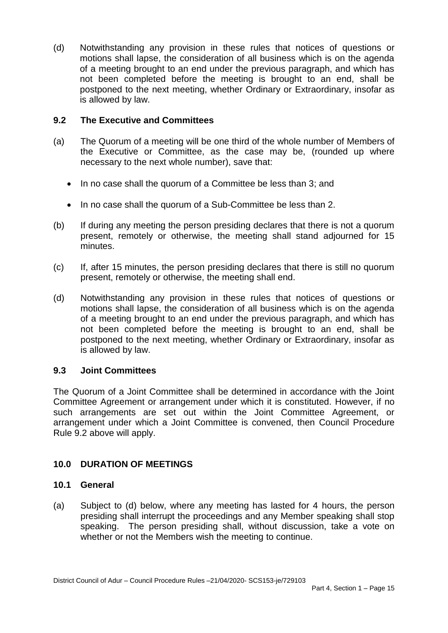(d) Notwithstanding any provision in these rules that notices of questions or motions shall lapse, the consideration of all business which is on the agenda of a meeting brought to an end under the previous paragraph, and which has not been completed before the meeting is brought to an end, shall be postponed to the next meeting, whether Ordinary or Extraordinary, insofar as is allowed by law.

## **9.2 The Executive and Committees**

- $(a)$  the Executive or Committee, as the case may be, (rounded up where The Quorum of a meeting will be one third of the whole number of Members of necessary to the next whole number), save that:
	- In no case shall the quorum of a Committee be less than 3; and
	- In no case shall the quorum of a Sub-Committee be less than 2.
- $(b)$  present, remotely or otherwise, the meeting shall stand adjourned for 15 If during any meeting the person presiding declares that there is not a quorum minutes.
- (c) If, after 15 minutes, the person presiding declares that there is still no quorum present, remotely or otherwise, the meeting shall end.
- (d) Notwithstanding any provision in these rules that notices of questions or motions shall lapse, the consideration of all business which is on the agenda of a meeting brought to an end under the previous paragraph, and which has not been completed before the meeting is brought to an end, shall be postponed to the next meeting, whether Ordinary or Extraordinary, insofar as is allowed by law.

## **9.3 Joint Committees**

 The Quorum of a Joint Committee shall be determined in accordance with the Joint Committee Agreement or arrangement under which it is constituted. However, if no such arrangements are set out within the Joint Committee Agreement, or arrangement under which a Joint Committee is convened, then Council Procedure Rule 9.2 above will apply.

# **10.0 DURATION OF MEETINGS**

## **10.1 General**

 $(a)$  presiding shall interrupt the proceedings and any Member speaking shall stop speaking. The person presiding shall, without discussion, take a vote on Subject to (d) below, where any meeting has lasted for 4 hours, the person whether or not the Members wish the meeting to continue.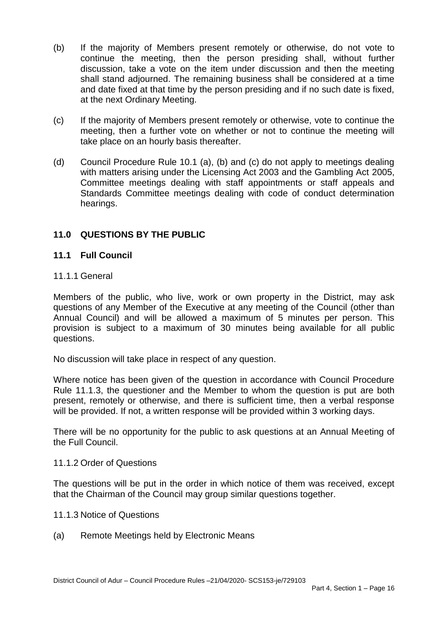- $(b)$  continue the meeting, then the person presiding shall, without further discussion, take a vote on the item under discussion and then the meeting shall stand adjourned. The remaining business shall be considered at a time and date fixed at that time by the person presiding and if no such date is fixed, If the majority of Members present remotely or otherwise, do not vote to at the next Ordinary Meeting.
- $(c)$  meeting, then a further vote on whether or not to continue the meeting will take place on an hourly basis thereafter. If the majority of Members present remotely or otherwise, vote to continue the
- $(d)$  with matters arising under the Licensing Act 2003 and the Gambling Act 2005, Committee meetings dealing with staff appointments or staff appeals and Standards Committee meetings dealing with code of conduct determination Council Procedure Rule 10.1 (a), (b) and (c) do not apply to meetings dealing hearings.

# **11.0 QUESTIONS BY THE PUBLIC**

#### **11.1 Full Council**

#### 11.1.1 General

 Members of the public, who live, work or own property in the District, may ask questions of any Member of the Executive at any meeting of the Council (other than Annual Council) and will be allowed a maximum of 5 minutes per person. This provision is subject to a maximum of 30 minutes being available for all public questions.

No discussion will take place in respect of any question.

 Where notice has been given of the question in accordance with Council Procedure Rule 11.1.3, the questioner and the Member to whom the question is put are both present, remotely or otherwise, and there is sufficient time, then a verbal response will be provided. If not, a written response will be provided within 3 working days.

 There will be no opportunity for the public to ask questions at an Annual Meeting of the Full Council.

#### 11.1.2 Order of Questions

 The questions will be put in the order in which notice of them was received, except that the Chairman of the Council may group similar questions together.

- 11.1.3 Notice of Questions
- $(a)$ Remote Meetings held by Electronic Means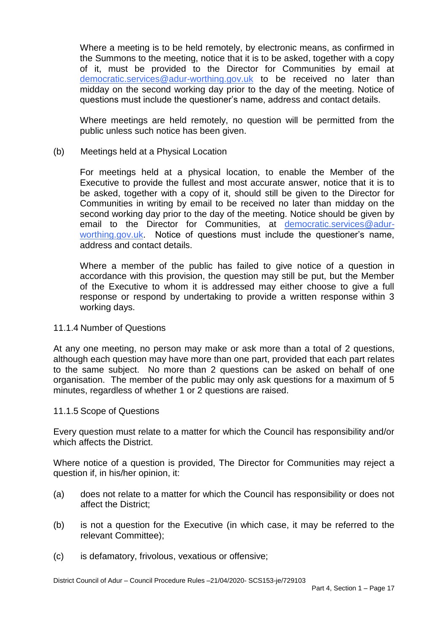Where a meeting is to be held remotely, by electronic means, as confirmed in the Summons to the meeting, notice that it is to be asked, together with a copy of it, must be provided to the Director for Communities by email at [democratic.services@adur-worthing.gov.uk](mailto:democratic.services@adur-worthing.gov.uk) to be received no later than midday on the second working day prior to the day of the meeting. Notice of questions must include the questioner's name, address and contact details.

 Where meetings are held remotely, no question will be permitted from the public unless such notice has been given.

#### $(b)$ Meetings held at a Physical Location

 For meetings held at a physical location, to enable the Member of the Executive to provide the fullest and most accurate answer, notice that it is to be asked, together with a copy of it, should still be given to the Director for Communities in writing by email to be received no later than midday on the second working day prior to the day of the meeting. Notice should be given by email to the Director for Communities, at [democratic.services@adur](mailto:democratic.services@adur-worthing.gov.uk)[worthing.gov.uk.](mailto:democratic.services@adur-worthing.gov.uk) Notice of questions must include the questioner's name, address and contact details.

 Where a member of the public has failed to give notice of a question in accordance with this provision, the question may still be put, but the Member of the Executive to whom it is addressed may either choose to give a full response or respond by undertaking to provide a written response within 3 working days.

#### 11.1.4 Number of Questions

 At any one meeting, no person may make or ask more than a total of 2 questions, to the same subject. No more than 2 questions can be asked on behalf of one organisation. The member of the public may only ask questions for a maximum of 5 although each question may have more than one part, provided that each part relates minutes, regardless of whether 1 or 2 questions are raised.

#### 11.1.5 Scope of Questions

 Every question must relate to a matter for which the Council has responsibility and/or which affects the District.

 Where notice of a question is provided, The Director for Communities may reject a question if, in his/her opinion, it:

- $(a)$ does not relate to a matter for which the Council has responsibility or does not affect the District;
- $(b)$ is not a question for the Executive (in which case, it may be referred to the relevant Committee);
- (c) is defamatory, frivolous, vexatious or offensive;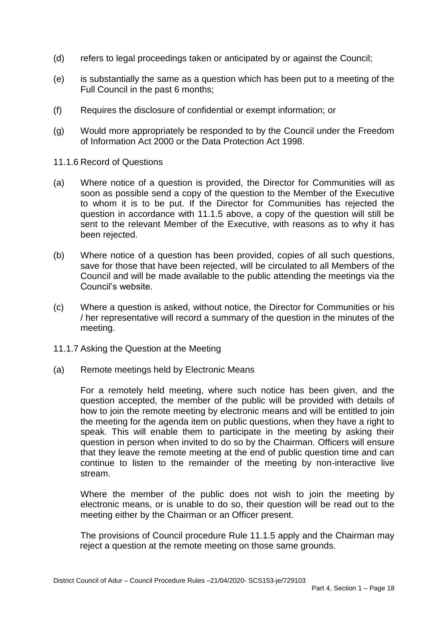- (d) refers to legal proceedings taken or anticipated by or against the Council;
- (e) is substantially the same as a question which has been put to a meeting of the Full Council in the past 6 months;
- (f) Requires the disclosure of confidential or exempt information; or
- $(q)$ Would more appropriately be responded to by the Council under the Freedom of Information Act 2000 or the Data Protection Act 1998.
- 11.1.6 Record of Questions
- (a) Where notice of a question is provided, the Director for Communities will as soon as possible send a copy of the question to the Member of the Executive to whom it is to be put. If the Director for Communities has rejected the question in accordance with 11.1.5 above, a copy of the question will still be sent to the relevant Member of the Executive, with reasons as to why it has been rejected.
- $(b)$  save for those that have been rejected, will be circulated to all Members of the Council and will be made available to the public attending the meetings via the Where notice of a question has been provided, copies of all such questions, Council's website.
- $(c)$ Where a question is asked, without notice, the Director for Communities or his / her representative will record a summary of the question in the minutes of the meeting.
- 11.1.7 Asking the Question at the Meeting
- (a) Remote meetings held by Electronic Means

 For a remotely held meeting, where such notice has been given, and the question accepted, the member of the public will be provided with details of how to join the remote meeting by electronic means and will be entitled to join the meeting for the agenda item on public questions, when they have a right to speak. This will enable them to participate in the meeting by asking their question in person when invited to do so by the Chairman. Officers will ensure that they leave the remote meeting at the end of public question time and can continue to listen to the remainder of the meeting by non-interactive live stream.

 Where the member of the public does not wish to join the meeting by electronic means, or is unable to do so, their question will be read out to the meeting either by the Chairman or an Officer present.

meeting either by the Chairman or an Officer present.<br>The provisions of Council procedure Rule 11.1.5 apply and the Chairman may reject a question at the remote meeting on those same grounds.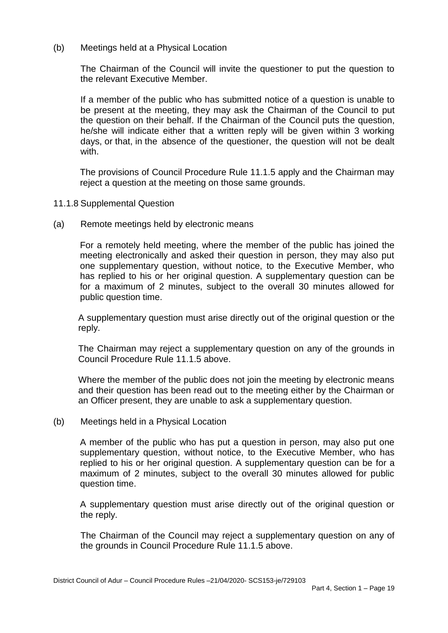(b) Meetings held at a Physical Location

 the relevant Executive Member. The Chairman of the Council will invite the questioner to put the question to

 he/she will indicate either that a written reply will be given within 3 working days, or that, in the absence of the questioner, the question will not be dealt If a member of the public who has submitted notice of a question is unable to be present at the meeting, they may ask the Chairman of the Council to put the question on their behalf. If the Chairman of the Council puts the question, with.

The provisions of Council Procedure Rule 11.1.5 apply and the Chairman may reject a question at the meeting on those same grounds.

- 11.1.8 Supplemental Question
- (a) Remote meetings held by electronic means

 For a remotely held meeting, where the member of the public has joined the meeting electronically and asked their question in person, they may also put one supplementary question, without notice, to the Executive Member, who has replied to his or her original question. A supplementary question can be for a maximum of 2 minutes, subject to the overall 30 minutes allowed for public question time.

public question time.<br>A supplementary question must arise directly out of the original question or the reply.

 The Chairman may reject a supplementary question on any of the grounds in Council Procedure Rule 11.1.5 above.

 Where the member of the public does not join the meeting by electronic means and their question has been read out to the meeting either by the Chairman or an Officer present, they are unable to ask a supplementary question.

(b) Meetings held in a Physical Location

 A member of the public who has put a question in person, may also put one supplementary question, without notice, to the Executive Member, who has replied to his or her original question. A supplementary question can be for a maximum of 2 minutes, subject to the overall 30 minutes allowed for public question time.

 A supplementary question must arise directly out of the original question or the reply.

The Chairman of the Council may reject a supplementary question on any of the grounds in Council Procedure Rule 11.1.5 above.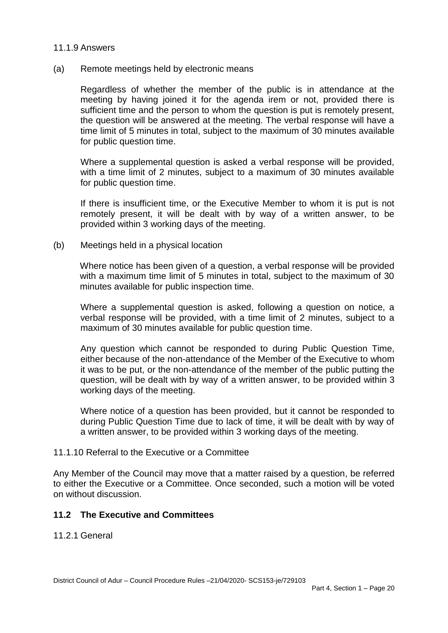#### 11.1.9 Answers

#### (a) Remote meetings held by electronic means

 Regardless of whether the member of the public is in attendance at the meeting by having joined it for the agenda irem or not, provided there is sufficient time and the person to whom the question is put is remotely present, the question will be answered at the meeting. The verbal response will have a time limit of 5 minutes in total, subject to the maximum of 30 minutes available for public question time.

 Where a supplemental question is asked a verbal response will be provided, with a time limit of 2 minutes, subject to a maximum of 30 minutes available for public question time.

 If there is insufficient time, or the Executive Member to whom it is put is not remotely present, it will be dealt with by way of a written answer, to be provided within 3 working days of the meeting.

(b) Meetings held in a physical location

 Where notice has been given of a question, a verbal response will be provided with a maximum time limit of 5 minutes in total, subject to the maximum of 30 minutes available for public inspection time.

 Where a supplemental question is asked, following a question on notice, a verbal response will be provided, with a time limit of 2 minutes, subject to a maximum of 30 minutes available for public question time.

 Any question which cannot be responded to during Public Question Time, either because of the non-attendance of the Member of the Executive to whom it was to be put, or the non-attendance of the member of the public putting the question, will be dealt with by way of a written answer, to be provided within 3 working days of the meeting.

 Where notice of a question has been provided, but it cannot be responded to during Public Question Time due to lack of time, it will be dealt with by way of a written answer, to be provided within 3 working days of the meeting.

#### 11.1.10 Referral to the Executive or a Committee

 Any Member of the Council may move that a matter raised by a question, be referred to either the Executive or a Committee. Once seconded, such a motion will be voted on without discussion.

## **11.2 The Executive and Committees**

11.2.1 General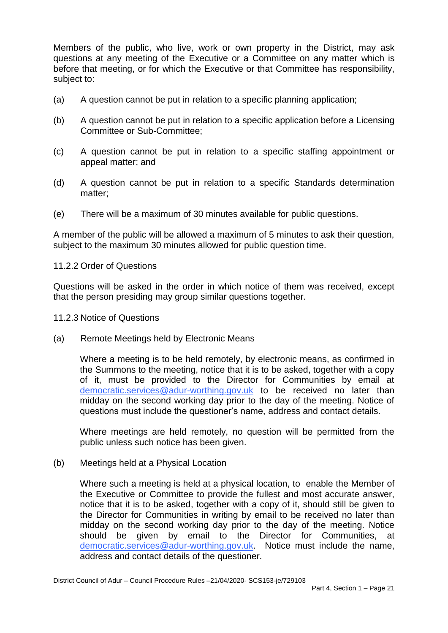Members of the public, who live, work or own property in the District, may ask questions at any meeting of the Executive or a Committee on any matter which is before that meeting, or for which the Executive or that Committee has responsibility, subject to:

- (a) A question cannot be put in relation to a specific planning application;
- (b) A question cannot be put in relation to a specific application before a Licensing Committee or Sub-Committee;
- $(c)$ A question cannot be put in relation to a specific staffing appointment or appeal matter; and
- $(d)$ A question cannot be put in relation to a specific Standards determination matter;
- (e) There will be a maximum of 30 minutes available for public questions.

 subject to the maximum 30 minutes allowed for public question time. A member of the public will be allowed a maximum of 5 minutes to ask their question,

#### 11.2.2 Order of Questions

 Questions will be asked in the order in which notice of them was received, except that the person presiding may group similar questions together.

#### 11.2.3 Notice of Questions

(a) Remote Meetings held by Electronic Means

 Where a meeting is to be held remotely, by electronic means, as confirmed in the Summons to the meeting, notice that it is to be asked, together with a copy of it, must be provided to the Director for Communities by email at [democratic.services@adur-worthing.gov.uk](mailto:democratic.services@adur-worthing.gov.uk) to be received no later than midday on the second working day prior to the day of the meeting. Notice of questions must include the questioner's name, address and contact details.

 Where meetings are held remotely, no question will be permitted from the public unless such notice has been given.

(b) Meetings held at a Physical Location

 Where such a meeting is held at a physical location, to enable the Member of the Executive or Committee to provide the fullest and most accurate answer, notice that it is to be asked, together with a copy of it, should still be given to the Director for Communities in writing by email to be received no later than midday on the second working day prior to the day of the meeting. Notice should be [democratic.services@adur-worthing.gov.uk.](mailto:democratic.services@adur-worthing.gov.uk) Notice must include the name, given by email to the Director for Communities, at address and contact details of the questioner.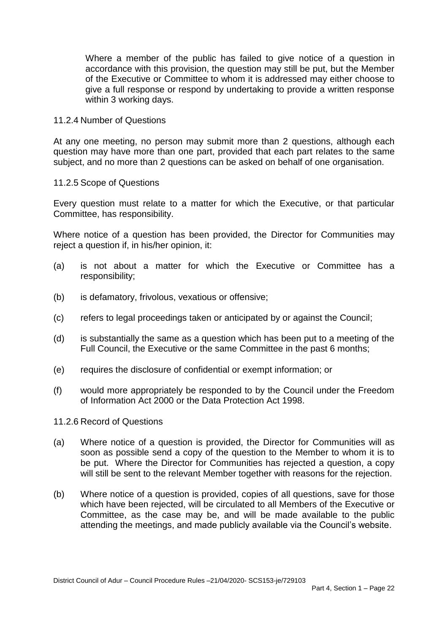Where a member of the public has failed to give notice of a question in accordance with this provision, the question may still be put, but the Member of the Executive or Committee to whom it is addressed may either choose to give a full response or respond by undertaking to provide a written response within 3 working days.

#### 11.2.4 Number of Questions

 At any one meeting, no person may submit more than 2 questions, although each question may have more than one part, provided that each part relates to the same subject, and no more than 2 questions can be asked on behalf of one organisation.

#### 11.2.5 Scope of Questions

 Every question must relate to a matter for which the Executive, or that particular Committee, has responsibility.

 Where notice of a question has been provided, the Director for Communities may reject a question if, in his/her opinion, it:

- (a) is not about a matter for which the Executive or Committee has a responsibility;
- (b) is defamatory, frivolous, vexatious or offensive;
- (c) refers to legal proceedings taken or anticipated by or against the Council;
- (d) is substantially the same as a question which has been put to a meeting of the Full Council, the Executive or the same Committee in the past 6 months;
- (e) requires the disclosure of confidential or exempt information; or
- (f) would more appropriately be responded to by the Council under the Freedom of Information Act 2000 or the Data Protection Act 1998.

#### 11.2.6 Record of Questions

- (a) Where notice of a question is provided, the Director for Communities will as soon as possible send a copy of the question to the Member to whom it is to be put. Where the Director for Communities has rejected a question, a copy will still be sent to the relevant Member together with reasons for the rejection.
- (b) Where notice of a question is provided, copies of all questions, save for those which have been rejected, will be circulated to all Members of the Executive or Committee, as the case may be, and will be made available to the public attending the meetings, and made publicly available via the Council's website.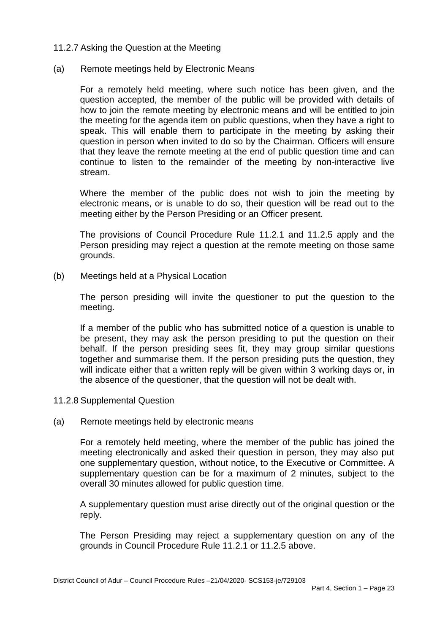#### 11.2.7 Asking the Question at the Meeting

#### (a) Remote meetings held by Electronic Means

 For a remotely held meeting, where such notice has been given, and the question accepted, the member of the public will be provided with details of how to join the remote meeting by electronic means and will be entitled to join the meeting for the agenda item on public questions, when they have a right to speak. This will enable them to participate in the meeting by asking their question in person when invited to do so by the Chairman. Officers will ensure that they leave the remote meeting at the end of public question time and can continue to listen to the remainder of the meeting by non-interactive live stream.

 Where the member of the public does not wish to join the meeting by electronic means, or is unable to do so, their question will be read out to the meeting either by the Person Presiding or an Officer present.

 The provisions of Council Procedure Rule 11.2.1 and 11.2.5 apply and the Person presiding may reject a question at the remote meeting on those same grounds.

(b) Meetings held at a Physical Location

 The person presiding will invite the questioner to put the question to the meeting.

 If a member of the public who has submitted notice of a question is unable to be present, they may ask the person presiding to put the question on their behalf. If the person presiding sees fit, they may group similar questions together and summarise them. If the person presiding puts the question, they will indicate either that a written reply will be given within 3 working days or, in the absence of the questioner, that the question will not be dealt with.

- 11.2.8 Supplemental Question
- (a) Remote meetings held by electronic means

 For a remotely held meeting, where the member of the public has joined the meeting electronically and asked their question in person, they may also put one supplementary question, without notice, to the Executive or Committee. A supplementary question can be for a maximum of 2 minutes, subject to the overall 30 minutes allowed for public question time.

overall 30 minutes allowed for public question time.<br>A supplementary question must arise directly out of the original question or the reply.

 The Person Presiding may reject a supplementary question on any of the grounds in Council Procedure Rule 11.2.1 or 11.2.5 above.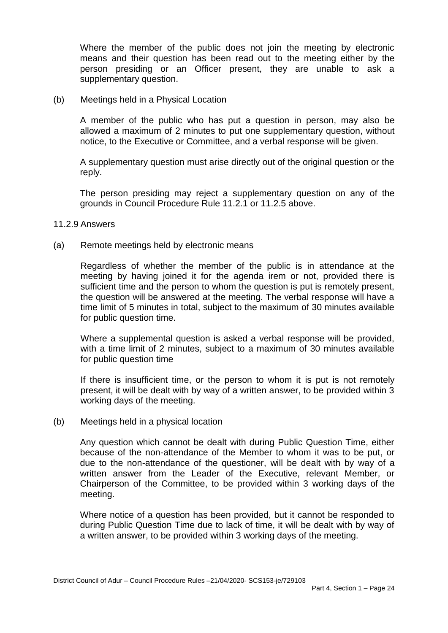Where the member of the public does not join the meeting by electronic means and their question has been read out to the meeting either by the person presiding or an Officer present, they are unable to ask a supplementary question.

(b) Meetings held in a Physical Location

 A member of the public who has put a question in person, may also be allowed a maximum of 2 minutes to put one supplementary question, without notice, to the Executive or Committee, and a verbal response will be given.

 A supplementary question must arise directly out of the original question or the reply.

 The person presiding may reject a supplementary question on any of the grounds in Council Procedure Rule 11.2.1 or 11.2.5 above.

- 11.2.9 Answers
- (a) Remote meetings held by electronic means

 Regardless of whether the member of the public is in attendance at the meeting by having joined it for the agenda irem or not, provided there is sufficient time and the person to whom the question is put is remotely present, the question will be answered at the meeting. The verbal response will have a time limit of 5 minutes in total, subject to the maximum of 30 minutes available for public question time.

 Where a supplemental question is asked a verbal response will be provided, with a time limit of 2 minutes, subject to a maximum of 30 minutes available for public question time

 If there is insufficient time, or the person to whom it is put is not remotely present, it will be dealt with by way of a written answer, to be provided within 3 working days of the meeting.

(b) Meetings held in a physical location

 Any question which cannot be dealt with during Public Question Time, either because of the non-attendance of the Member to whom it was to be put, or due to the non-attendance of the questioner, will be dealt with by way of a written answer from the Leader of the Executive, relevant Member, or Chairperson of the Committee, to be provided within 3 working days of the meeting.

 Where notice of a question has been provided, but it cannot be responded to during Public Question Time due to lack of time, it will be dealt with by way of a written answer, to be provided within 3 working days of the meeting.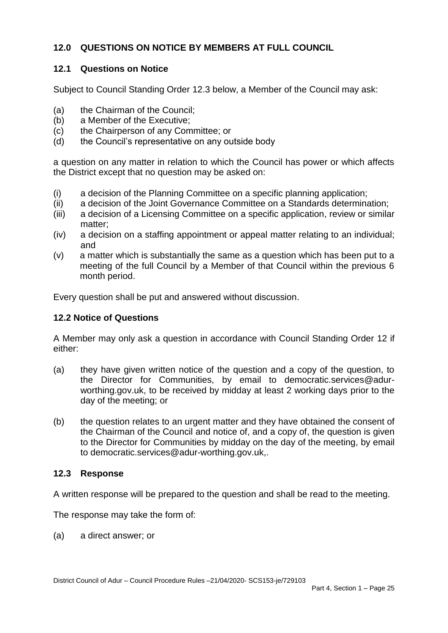# **12.0 QUESTIONS ON NOTICE BY MEMBERS AT FULL COUNCIL**

# **12.1 Questions on Notice**

Subject to Council Standing Order 12.3 below, a Member of the Council may ask:

- (a) the Chairman of the Council;
- (b) a Member of the Executive;
- $(c)$ the Chairperson of any Committee; or
- (d) the Council's representative on any outside body

 a question on any matter in relation to which the Council has power or which affects the District except that no question may be asked on:

- (i) a decision of the Planning Committee on a specific planning application;
- (ii) a decision of the Joint Governance Committee on a Standards determination;
- (iii) a decision of a Licensing Committee on a specific application, review or similar matter;
- $(iv)$ a decision on a staffing appointment or appeal matter relating to an individual; and
- (v) a matter which is substantially the same as a question which has been put to a meeting of the full Council by a Member of that Council within the previous 6 month period.

Every question shall be put and answered without discussion.

## **12.2 Notice of Questions**

 A Member may only ask a question in accordance with Council Standing Order 12 if either:

- the Director for Communities, by email to [democratic.services@adur](mailto:democratic.services@adur)- worthing.gov.uk, to be received by midday at least 2 working days prior to the day of the meeting; or (a) they have given written notice of the question and a copy of the question, to
- the Chairman of the Council and notice of, and a copy of, the question is given to the Director for Communities by midday on the day of the meeting, by email (b) the question relates to an urgent matter and they have obtained the consent of to democratic.services@adur-worthing.gov.uk,.

## **12.3 Response**

A written response will be prepared to the question and shall be read to the meeting.

The response may take the form of:

(a) a direct answer; or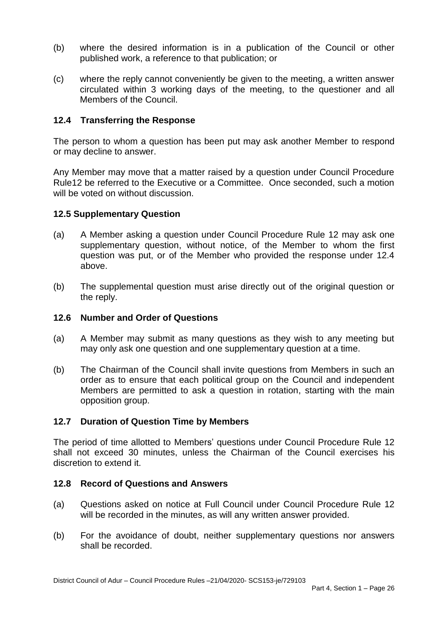- (b) where the desired information is in a publication of the Council or other published work, a reference to that publication; or
- (c) where the reply cannot conveniently be given to the meeting, a written answer circulated within 3 working days of the meeting, to the questioner and all Members of the Council.

## **12.4 Transferring the Response**

 The person to whom a question has been put may ask another Member to respond or may decline to answer.

 Any Member may move that a matter raised by a question under Council Procedure Rule12 be referred to the Executive or a Committee. Once seconded, such a motion will be voted on without discussion.

## **12.5 Supplementary Question**

- $(a)$  supplementary question, without notice, of the Member to whom the first question was put, or of the Member who provided the response under 12.4 A Member asking a question under Council Procedure Rule 12 may ask one above.
- $(b)$ The supplemental question must arise directly out of the original question or the reply.

#### **12.6 Number and Order of Questions**

- (a) A Member may submit as many questions as they wish to any meeting but may only ask one question and one supplementary question at a time.
- $(b)$  order as to ensure that each political group on the Council and independent Members are permitted to ask a question in rotation, starting with the main The Chairman of the Council shall invite questions from Members in such an opposition group.

## **12.7 Duration of Question Time by Members**

 The period of time allotted to Members' questions under Council Procedure Rule 12 shall not exceed 30 minutes, unless the Chairman of the Council exercises his discretion to extend it.

#### **12.8 Record of Questions and Answers**

- (a) Questions asked on notice at Full Council under Council Procedure Rule 12 will be recorded in the minutes, as will any written answer provided.
- $(b)$ For the avoidance of doubt, neither supplementary questions nor answers shall be recorded.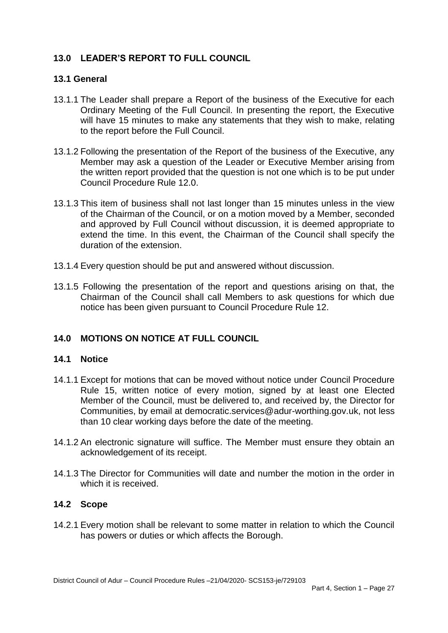# **13.0 LEADER'S REPORT TO FULL COUNCIL**

## **13.1 General**

- 13.1.1 The Leader shall prepare a Report of the business of the Executive for each Ordinary Meeting of the Full Council. In presenting the report, the Executive will have 15 minutes to make any statements that they wish to make, relating to the report before the Full Council.
- 13.1.2 Following the presentation of the Report of the business of the Executive, any Member may ask a question of the Leader or Executive Member arising from Council Procedure Rule 12.0. the written report provided that the question is not one which is to be put under
- Council Procedure Rule 12.0. 13.1.3 This item of business shall not last longer than 15 minutes unless in the view and approved by Full Council without discussion, it is deemed appropriate to extend the time. In this event, the Chairman of the Council shall specify the of the Chairman of the Council, or on a motion moved by a Member, seconded duration of the extension.
- 13.1.4 Every question should be put and answered without discussion.
- 13.1.5 Following the presentation of the report and questions arising on that, the Chairman of the Council shall call Members to ask questions for which due notice has been given pursuant to Council Procedure Rule 12.

# **14.0 MOTIONS ON NOTICE AT FULL COUNCIL**

#### **14.1 Notice**

- 14.1.1 Except for motions that can be moved without notice under Council Procedure Rule 15, written notice of every motion, signed by at least one Elected Member of the Council, must be delivered to, and received by, the Director for Communities, by email at democratic.services@adur-worthing.gov.uk, not less than 10 clear working days before the date of the meeting.
- 14.1.2 An electronic signature will suffice. The Member must ensure they obtain an acknowledgement of its receipt. acknowledgement of its receipt. 14.1.3 The Director for Communities will date and number the motion in the order in
- which it is received.

#### **14.2 Scope**

 14.2.1 Every motion shall be relevant to some matter in relation to which the Council has powers or duties or which affects the Borough.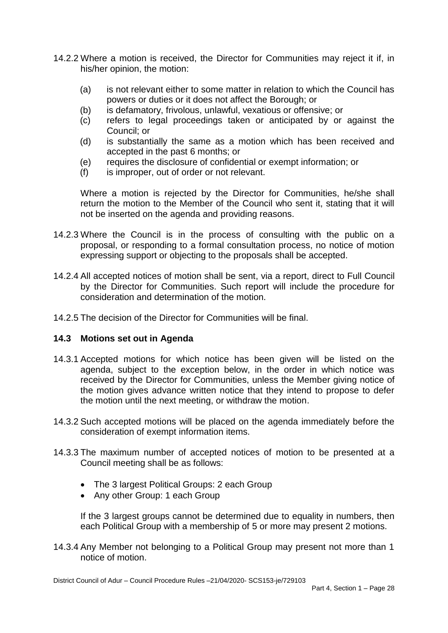- 14.2.2 Where a motion is received, the Director for Communities may reject it if, in his/her opinion, the motion:
	- (a) is not relevant either to some matter in relation to which the Council has powers or duties or it does not affect the Borough; or
	- (b) is defamatory, frivolous, unlawful, vexatious or offensive; or
	- (c) refers to legal proceedings taken or anticipated by or against the Council; or
	- (d) is substantially the same as a motion which has been received and accepted in the past 6 months; or
	- (e) requires the disclosure of confidential or exempt information; or
	- (f) is improper, out of order or not relevant.

 Where a motion is rejected by the Director for Communities, he/she shall return the motion to the Member of the Council who sent it, stating that it will not be inserted on the agenda and providing reasons.

- 14.2.3 Where the Council is in the process of consulting with the public on a proposal, or responding to a formal consultation process, no notice of motion expressing support or objecting to the proposals shall be accepted.
- 14.2.4 All accepted notices of motion shall be sent, via a report, direct to Full Council by the Director for Communities. Such report will include the procedure for consideration and determination of the motion.
- 14.2.5 The decision of the Director for Communities will be final.

## **14.3 Motions set out in Agenda**

- 14.3.1 Accepted motions for which notice has been given will be listed on the agenda, subject to the exception below, in the order in which notice was received by the Director for Communities, unless the Member giving notice of the motion gives advance written notice that they intend to propose to defer the motion until the next meeting, or withdraw the motion.
- 14.3.2 Such accepted motions will be placed on the agenda immediately before the consideration of exempt information items.
- 14.3.3 The maximum number of accepted notices of motion to be presented at a Council meeting shall be as follows:
	- The 3 largest Political Groups: 2 each Group
	- Any other Group: 1 each Group

 If the 3 largest groups cannot be determined due to equality in numbers, then each Political Group with a membership of 5 or more may present 2 motions.

 14.3.4 Any Member not belonging to a Political Group may present not more than 1 notice of motion.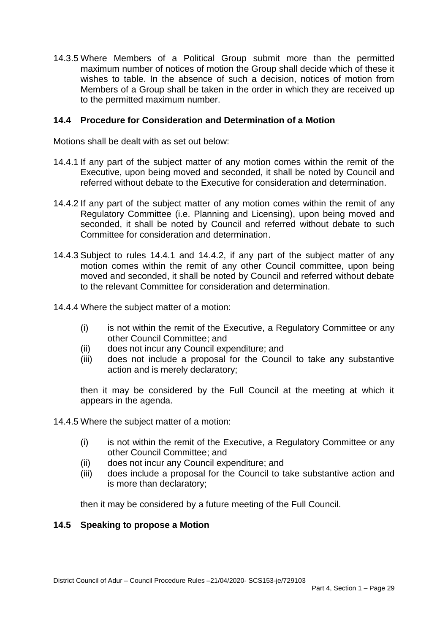14.3.5 Where Members of a Political Group submit more than the permitted maximum number of notices of motion the Group shall decide which of these it wishes to table. In the absence of such a decision, notices of motion from Members of a Group shall be taken in the order in which they are received up to the permitted maximum number.

## **14.4 Procedure for Consideration and Determination of a Motion**

Motions shall be dealt with as set out below:

- 14.4.1 If any part of the subject matter of any motion comes within the remit of the Executive, upon being moved and seconded, it shall be noted by Council and referred without debate to the Executive for consideration and determination.
- 14.4.2 If any part of the subject matter of any motion comes within the remit of any Regulatory Committee (i.e. Planning and Licensing), upon being moved and seconded, it shall be noted by Council and referred without debate to such Committee for consideration and determination.
- 14.4.3 Subject to rules 14.4.1 and 14.4.2, if any part of the subject matter of any motion comes within the remit of any other Council committee, upon being moved and seconded, it shall be noted by Council and referred without debate to the relevant Committee for consideration and determination.
- 14.4.4 Where the subject matter of a motion:
	- (i) is not within the remit of the Executive, a Regulatory Committee or any other Council Committee; and
	- (ii) does not incur any Council expenditure; and
	- (iii) does not include a proposal for the Council to take any substantive action and is merely declaratory;

 then it may be considered by the Full Council at the meeting at which it appears in the agenda.

- 14.4.5 Where the subject matter of a motion:
	- (i) is not within the remit of the Executive, a Regulatory Committee or any other Council Committee; and
	- (ii) does not incur any Council expenditure; and
	- (iii) does include a proposal for the Council to take substantive action and is more than declaratory;

then it may be considered by a future meeting of the Full Council.

#### **14.5 Speaking to propose a Motion**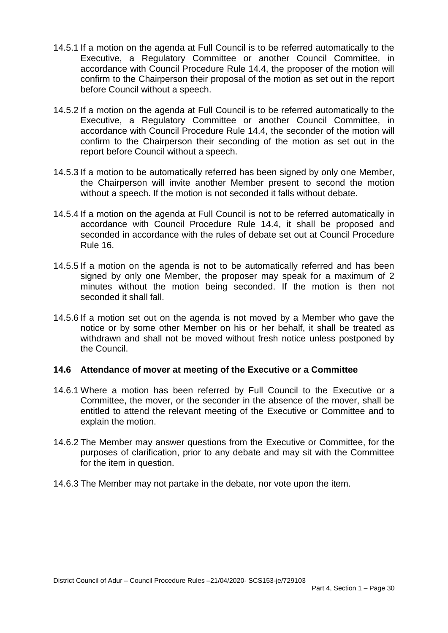- 14.5.1 If a motion on the agenda at Full Council is to be referred automatically to the accordance with Council Procedure Rule 14.4, the proposer of the motion will confirm to the Chairperson their proposal of the motion as set out in the report Executive, a Regulatory Committee or another Council Committee, in before Council without a speech.
- 14.5.2 If a motion on the agenda at Full Council is to be referred automatically to the accordance with Council Procedure Rule 14.4, the seconder of the motion will confirm to the Chairperson their seconding of the motion as set out in the Executive, a Regulatory Committee or another Council Committee, in report before Council without a speech.
- 14.5.3 If a motion to be automatically referred has been signed by only one Member, the Chairperson will invite another Member present to second the motion without a speech. If the motion is not seconded it falls without debate.
- 14.5.4 If a motion on the agenda at Full Council is not to be referred automatically in accordance with Council Procedure Rule 14.4, it shall be proposed and seconded in accordance with the rules of debate set out at Council Procedure Rule 16.
- 14.5.5 If a motion on the agenda is not to be automatically referred and has been signed by only one Member, the proposer may speak for a maximum of 2 minutes without the motion being seconded. If the motion is then not seconded it shall fall.
- 14.5.6 If a motion set out on the agenda is not moved by a Member who gave the notice or by some other Member on his or her behalf, it shall be treated as withdrawn and shall not be moved without fresh notice unless postponed by the Council.

## **14.6 Attendance of mover at meeting of the Executive or a Committee**

- 14.6.1 Where a motion has been referred by Full Council to the Executive or a Committee, the mover, or the seconder in the absence of the mover, shall be entitled to attend the relevant meeting of the Executive or Committee and to explain the motion.
- 14.6.2 The Member may answer questions from the Executive or Committee, for the purposes of clarification, prior to any debate and may sit with the Committee for the item in question.
- 14.6.3 The Member may not partake in the debate, nor vote upon the item.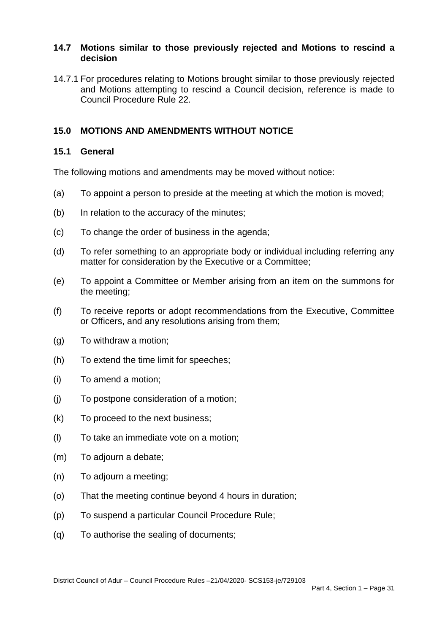## **14.7 Motions similar to those previously rejected and Motions to rescind a decision**

 14.7.1 For procedures relating to Motions brought similar to those previously rejected and Motions attempting to rescind a Council decision, reference is made to Council Procedure Rule 22.

# **15.0 MOTIONS AND AMENDMENTS WITHOUT NOTICE**

#### **15.1 General**

The following motions and amendments may be moved without notice:

- (a) To appoint a person to preside at the meeting at which the motion is moved;
- (b) In relation to the accuracy of the minutes;
- (c) To change the order of business in the agenda;
- $(d)$ To refer something to an appropriate body or individual including referring any matter for consideration by the Executive or a Committee;
- $(e)$  the meeting; To appoint a Committee or Member arising from an item on the summons for
- $(f)$  or Officers, and any resolutions arising from them; To receive reports or adopt recommendations from the Executive, Committee
- (g) To withdraw a motion;
- (h) To extend the time limit for speeches;
- (i) To amend a motion;
- (j) To postpone consideration of a motion;
- $(k)$ To proceed to the next business;
- (l) To take an immediate vote on a motion;
- (m) To adjourn a debate;
- (n) To adjourn a meeting;
- (o) That the meeting continue beyond 4 hours in duration;
- (p) To suspend a particular Council Procedure Rule;
- (q) To authorise the sealing of documents;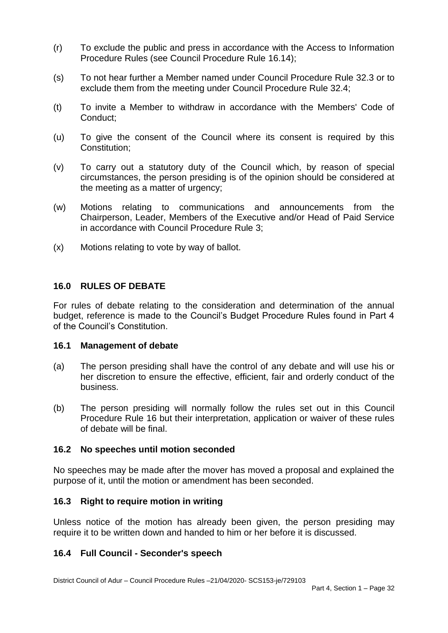- $(r)$  Procedure Rules (see Council Procedure Rule 16.14); To exclude the public and press in accordance with the Access to Information
- $(s)$  exclude them from the meeting under Council Procedure Rule 32.4; To not hear further a Member named under Council Procedure Rule 32.3 or to
- $(t)$ To invite a Member to withdraw in accordance with the Members' Code of Conduct;
- $(u)$ To give the consent of the Council where its consent is required by this Constitution;
- $(v)$  circumstances, the person presiding is of the opinion should be considered at To carry out a statutory duty of the Council which, by reason of special the meeting as a matter of urgency;
- (w) Motions relating to communications and announcements from the Chairperson, Leader, Members of the Executive and/or Head of Paid Service in accordance with Council Procedure Rule 3;
- (x) Motions relating to vote by way of ballot.

## **16.0 RULES OF DEBATE**

 For rules of debate relating to the consideration and determination of the annual budget, reference is made to the Council's Budget Procedure Rules found in Part 4 of the Council's Constitution.

#### **16.1 Management of debate**

- her discretion to ensure the effective, efficient, fair and orderly conduct of the (a) The person presiding shall have the control of any debate and will use his or business.
- $(b)$  Procedure Rule 16 but their interpretation, application or waiver of these rules of debate will be final. The person presiding will normally follow the rules set out in this Council

## **16.2 No speeches until motion seconded**

 No speeches may be made after the mover has moved a proposal and explained the purpose of it, until the motion or amendment has been seconded.

## **16.3 Right to require motion in writing**

 Unless notice of the motion has already been given, the person presiding may require it to be written down and handed to him or her before it is discussed.

## **16.4 Full Council - Seconder's speech**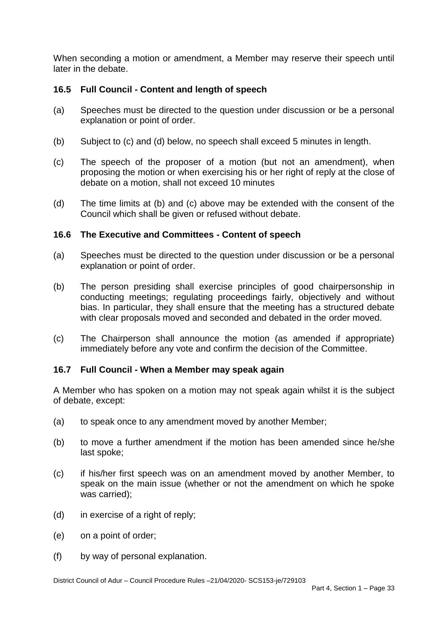When seconding a motion or amendment, a Member may reserve their speech until later in the debate.

## **16.5 Full Council - Content and length of speech**

- (a) Speeches must be directed to the question under discussion or be a personal explanation or point of order.
- (b) Subject to (c) and (d) below, no speech shall exceed 5 minutes in length.
- $(c)$  debate on a motion, shall not exceed 10 minutes The speech of the proposer of a motion (but not an amendment), when proposing the motion or when exercising his or her right of reply at the close of
- $(d)$ The time limits at (b) and (c) above may be extended with the consent of the Council which shall be given or refused without debate.

#### **16.6 The Executive and Committees - Content of speech**

- (a) Speeches must be directed to the question under discussion or be a personal explanation or point of order.
- $(b)$  conducting meetings; regulating proceedings fairly, objectively and without bias. In particular, they shall ensure that the meeting has a structured debate The person presiding shall exercise principles of good chairpersonship in with clear proposals moved and seconded and debated in the order moved.
- $(c)$  immediately before any vote and confirm the decision of the Committee. The Chairperson shall announce the motion (as amended if appropriate)

## **16.7 Full Council - When a Member may speak again**

 A Member who has spoken on a motion may not speak again whilst it is the subject of debate, except:

- (a) to speak once to any amendment moved by another Member;
- $(b)$ to move a further amendment if the motion has been amended since he/she last spoke;
- $(c)$  speak on the main issue (whether or not the amendment on which he spoke if his/her first speech was on an amendment moved by another Member, to was carried);
- (d) in exercise of a right of reply;
- (e) on a point of order;
- $(f)$ by way of personal explanation.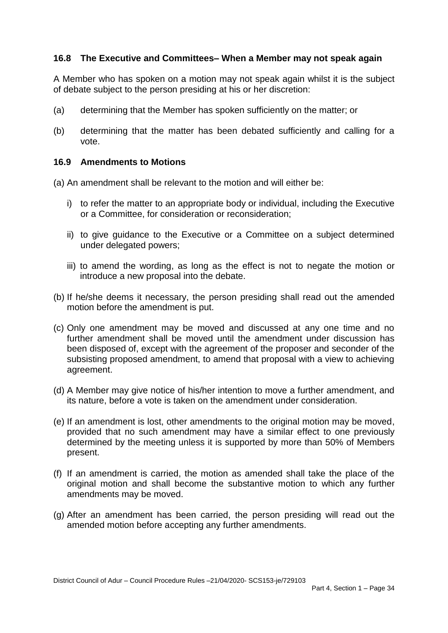## **16.8 The Executive and Committees– When a Member may not speak again**

 A Member who has spoken on a motion may not speak again whilst it is the subject of debate subject to the person presiding at his or her discretion:

- (a) determining that the Member has spoken sufficiently on the matter; or
- (b) determining that the matter has been debated sufficiently and calling for a vote.

## **16.9 Amendments to Motions**

(a) An amendment shall be relevant to the motion and will either be:

- i) to refer the matter to an appropriate body or individual, including the Executive or a Committee, for consideration or reconsideration;
- ii) to give guidance to the Executive or a Committee on a subject determined under delegated powers;
- iii) to amend the wording, as long as the effect is not to negate the motion or introduce a new proposal into the debate.
- (b) If he/she deems it necessary, the person presiding shall read out the amended motion before the amendment is put.
- (c) Only one amendment may be moved and discussed at any one time and no further amendment shall be moved until the amendment under discussion has been disposed of, except with the agreement of the proposer and seconder of the subsisting proposed amendment, to amend that proposal with a view to achieving agreement.
- agreement.<br>(d) A Member may give notice of his/her intention to move a further amendment, and its nature, before a vote is taken on the amendment under consideration.
- (e) If an amendment is lost, other amendments to the original motion may be moved, provided that no such amendment may have a similar effect to one previously determined by the meeting unless it is supported by more than 50% of Members present.
- (f) If an amendment is carried, the motion as amended shall take the place of the original motion and shall become the substantive motion to which any further amendments may be moved.
- (g) After an amendment has been carried, the person presiding will read out the amended motion before accepting any further amendments.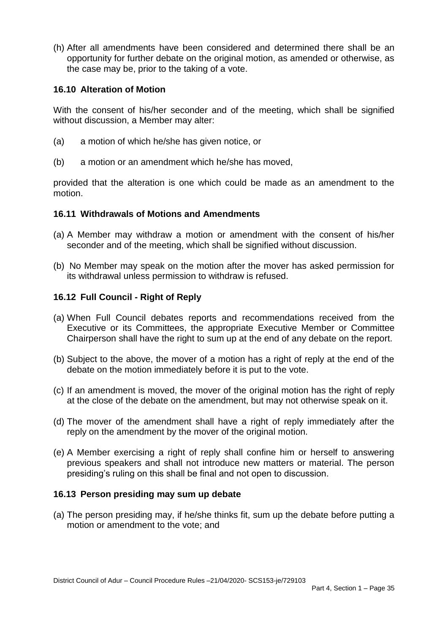(h) After all amendments have been considered and determined there shall be an opportunity for further debate on the original motion, as amended or otherwise, as the case may be, prior to the taking of a vote.

## **16.10 Alteration of Motion**

 With the consent of his/her seconder and of the meeting, which shall be signified without discussion, a Member may alter:

- (a) a motion of which he/she has given notice, or
- (b) a motion or an amendment which he/she has moved,

 provided that the alteration is one which could be made as an amendment to the motion.

## **16.11 Withdrawals of Motions and Amendments**

- (a) A Member may withdraw a motion or amendment with the consent of his/her seconder and of the meeting, which shall be signified without discussion.
- (b) No Member may speak on the motion after the mover has asked permission for its withdrawal unless permission to withdraw is refused.

## **16.12 Full Council - Right of Reply**

- (a) When Full Council debates reports and recommendations received from the Executive or its Committees, the appropriate Executive Member or Committee Chairperson shall have the right to sum up at the end of any debate on the report.
- (b) Subject to the above, the mover of a motion has a right of reply at the end of the debate on the motion immediately before it is put to the vote.
- (c) If an amendment is moved, the mover of the original motion has the right of reply at the close of the debate on the amendment, but may not otherwise speak on it.
- (d) The mover of the amendment shall have a right of reply immediately after the reply on the amendment by the mover of the original motion.
- (e) A Member exercising a right of reply shall confine him or herself to answering previous speakers and shall not introduce new matters or material. The person presiding's ruling on this shall be final and not open to discussion.

## **16.13 Person presiding may sum up debate**

 (a) The person presiding may, if he/she thinks fit, sum up the debate before putting a motion or amendment to the vote: and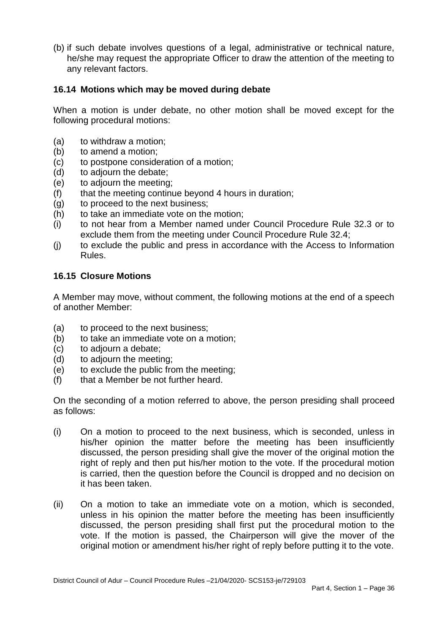(b) if such debate involves questions of a legal, administrative or technical nature, he/she may request the appropriate Officer to draw the attention of the meeting to any relevant factors.

## **16.14 Motions which may be moved during debate**

 When a motion is under debate, no other motion shall be moved except for the following procedural motions:

- (a) to withdraw a motion;
- (b) to amend a motion;
- (c) to postpone consideration of a motion;
- (d) to adjourn the debate;
- (e) to adjourn the meeting;
- (f) that the meeting continue beyond 4 hours in duration;
- (g) to proceed to the next business;
- (h) to take an immediate vote on the motion;
- $(i)$  exclude them from the meeting under Council Procedure Rule 32.4; (i) to not hear from a Member named under Council Procedure Rule 32.3 or to
- $(i)$ to exclude the public and press in accordance with the Access to Information Rules.

## **16.15 Closure Motions**

 A Member may move, without comment, the following motions at the end of a speech of another Member:

- (a) to proceed to the next business;
- (b) to take an immediate vote on a motion;
- (c) to adjourn a debate;
- (d) to adjourn the meeting;
- $(e)$ to exclude the public from the meeting;
- (f) that a Member be not further heard.

 On the seconding of a motion referred to above, the person presiding shall proceed as follows:

- $(i)$  his/her opinion the matter before the meeting has been insufficiently discussed, the person presiding shall give the mover of the original motion the right of reply and then put his/her motion to the vote. If the procedural motion is carried, then the question before the Council is dropped and no decision on On a motion to proceed to the next business, which is seconded, unless in it has been taken.
- $(ii)$  unless in his opinion the matter before the meeting has been insufficiently discussed, the person presiding shall first put the procedural motion to the vote. If the motion is passed, the Chairperson will give the mover of the original motion or amendment his/her right of reply before putting it to the vote. On a motion to take an immediate vote on a motion, which is seconded,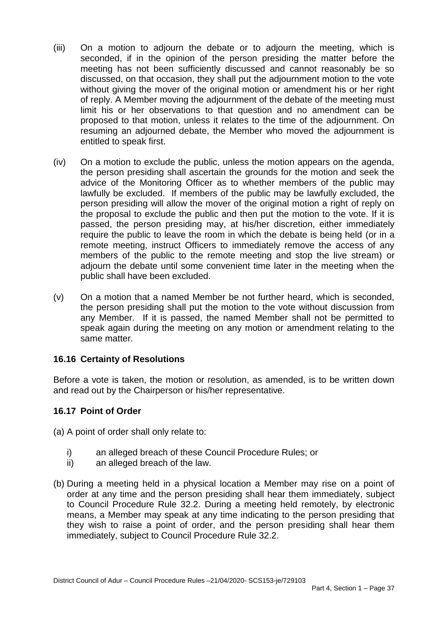- $(iii)$  seconded, if in the opinion of the person presiding the matter before the meeting has not been sufficiently discussed and cannot reasonably be so discussed, on that occasion, they shall put the adjournment motion to the vote without giving the mover of the original motion or amendment his or her right of reply. A Member moving the adjournment of the debate of the meeting must limit his or her observations to that question and no amendment can be proposed to that motion, unless it relates to the time of the adjournment. On resuming an adjourned debate, the Member who moved the adjournment is entitled to speak first. On a motion to adjourn the debate or to adjourn the meeting, which is
- $(iv)$  the person presiding shall ascertain the grounds for the motion and seek the advice of the Monitoring Officer as to whether members of the public may lawfully be excluded. If members of the public may be lawfully excluded, the person presiding will allow the mover of the original motion a right of reply on the proposal to exclude the public and then put the motion to the vote. If it is passed, the person presiding may, at his/her discretion, either immediately require the public to leave the room in which the debate is being held (or in a remote meeting, instruct Officers to immediately remove the access of any members of the public to the remote meeting and stop the live stream) or adjourn the debate until some convenient time later in the meeting when the public shall have been excluded. On a motion to exclude the public, unless the motion appears on the agenda,
- $(v)$  the person presiding shall put the motion to the vote without discussion from any Member. If it is passed, the named Member shall not be permitted to speak again during the meeting on any motion or amendment relating to the On a motion that a named Member be not further heard, which is seconded, same matter.

# **16.16 Certainty of Resolutions**

 Before a vote is taken, the motion or resolution, as amended, is to be written down and read out by the Chairperson or his/her representative.

## **16.17 Point of Order**

(a) A point of order shall only relate to:

- i) an alleged breach of these Council Procedure Rules; or
- ii) an alleged breach of the law.
- (b) During a meeting held in a physical location a Member may rise on a point of order at any time and the person presiding shall hear them immediately, subject to Council Procedure Rule 32.2. During a meeting held remotely, by electronic means, a Member may speak at any time indicating to the person presiding that they wish to raise a point of order, and the person presiding shall hear them immediately, subject to Council Procedure Rule 32.2.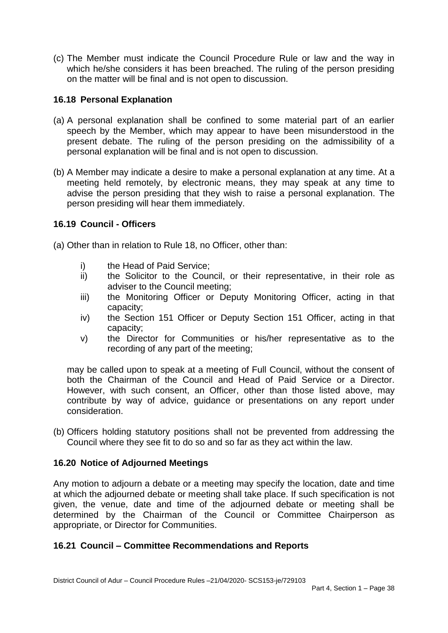(c) The Member must indicate the Council Procedure Rule or law and the way in which he/she considers it has been breached. The ruling of the person presiding on the matter will be final and is not open to discussion.

## **16.18 Personal Explanation**

- (a) A personal explanation shall be confined to some material part of an earlier speech by the Member, which may appear to have been misunderstood in the present debate. The ruling of the person presiding on the admissibility of a personal explanation will be final and is not open to discussion.
- (b) A Member may indicate a desire to make a personal explanation at any time. At a meeting held remotely, by electronic means, they may speak at any time to advise the person presiding that they wish to raise a personal explanation. The person presiding will hear them immediately.

## **16.19 Council - Officers**

(a) Other than in relation to Rule 18, no Officer, other than:

- i) the Head of Paid Service;
- adviser to the Council meeting; ii) the Solicitor to the Council, or their representative, in their role as
- iii) the Monitoring Officer or Deputy Monitoring Officer, acting in that capacity;
- iv) the Section 151 Officer or Deputy Section 151 Officer, acting in that capacity;
- v) the Director for Communities or his/her representative as to the recording of any part of the meeting;

 may be called upon to speak at a meeting of Full Council, without the consent of both the Chairman of the Council and Head of Paid Service or a Director. However, with such consent, an Officer, other than those listed above, may contribute by way of advice, guidance or presentations on any report under consideration.

 (b) Officers holding statutory positions shall not be prevented from addressing the Council where they see fit to do so and so far as they act within the law.

## **16.20 Notice of Adjourned Meetings**

 Any motion to adjourn a debate or a meeting may specify the location, date and time at which the adjourned debate or meeting shall take place. If such specification is not given, the venue, date and time of the adjourned debate or meeting shall be determined by the Chairman of the Council or Committee Chairperson as appropriate, or Director for Communities.

## **16.21 Council – Committee Recommendations and Reports**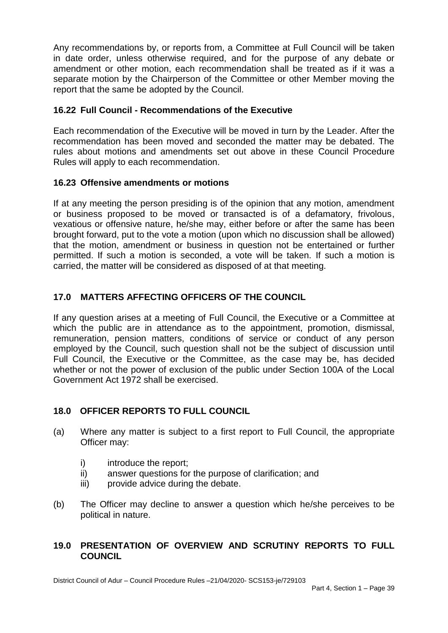Any recommendations by, or reports from, a Committee at Full Council will be taken in date order, unless otherwise required, and for the purpose of any debate or amendment or other motion, each recommendation shall be treated as if it was a separate motion by the Chairperson of the Committee or other Member moving the report that the same be adopted by the Council.

# **16.22 Full Council - Recommendations of the Executive**

 Each recommendation of the Executive will be moved in turn by the Leader. After the recommendation has been moved and seconded the matter may be debated. The rules about motions and amendments set out above in these Council Procedure Rules will apply to each recommendation.

## **16.23 Offensive amendments or motions**

 If at any meeting the person presiding is of the opinion that any motion, amendment or business proposed to be moved or transacted is of a defamatory, frivolous, vexatious or offensive nature, he/she may, either before or after the same has been that the motion, amendment or business in question not be entertained or further permitted. If such a motion is seconded, a vote will be taken. If such a motion is carried, the matter will be considered as disposed of at that meeting. brought forward, put to the vote a motion (upon which no discussion shall be allowed)

# **17.0 MATTERS AFFECTING OFFICERS OF THE COUNCIL**

 If any question arises at a meeting of Full Council, the Executive or a Committee at which the public are in attendance as to the appointment, promotion, dismissal, remuneration, pension matters, conditions of service or conduct of any person employed by the Council, such question shall not be the subject of discussion until Full Council, the Executive or the Committee, as the case may be, has decided whether or not the power of exclusion of the public under Section 100A of the Local Government Act 1972 shall be exercised.

# **18.0 OFFICER REPORTS TO FULL COUNCIL**

- (a) Where any matter is subject to a first report to Full Council, the appropriate Officer may:
	- i) introduce the report;
	- ii) answer questions for the purpose of clarification; and
	- iii) provide advice during the debate.
- $(b)$ The Officer may decline to answer a question which he/she perceives to be political in nature.

## **19.0 PRESENTATION OF OVERVIEW AND SCRUTINY REPORTS TO FULL COUNCIL**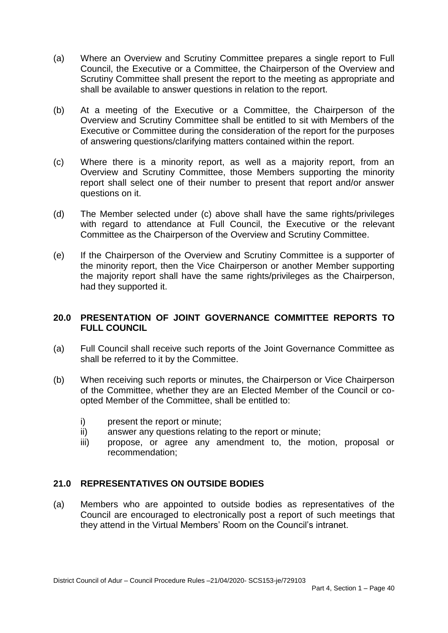- $(a)$  Council, the Executive or a Committee, the Chairperson of the Overview and Scrutiny Committee shall present the report to the meeting as appropriate and Where an Overview and Scrutiny Committee prepares a single report to Full shall be available to answer questions in relation to the report.
- $(b)$  Overview and Scrutiny Committee shall be entitled to sit with Members of the At a meeting of the Executive or a Committee, the Chairperson of the Executive or Committee during the consideration of the report for the purposes of answering questions/clarifying matters contained within the report.
- $(c)$  Overview and Scrutiny Committee, those Members supporting the minority report shall select one of their number to present that report and/or answer questions on it. Where there is a minority report, as well as a majority report, from an
- $(d)$  with regard to attendance at Full Council, the Executive or the relevant The Member selected under (c) above shall have the same rights/privileges Committee as the Chairperson of the Overview and Scrutiny Committee.
- $(e)$  the minority report, then the Vice Chairperson or another Member supporting the majority report shall have the same rights/privileges as the Chairperson, If the Chairperson of the Overview and Scrutiny Committee is a supporter of had they supported it.

## **20.0 PRESENTATION OF JOINT GOVERNANCE COMMITTEE REPORTS TO FULL COUNCIL**

- (a) Full Council shall receive such reports of the Joint Governance Committee as shall be referred to it by the Committee.
- $(b)$  of the Committee, whether they are an Elected Member of the Council or co-When receiving such reports or minutes, the Chairperson or Vice Chairperson opted Member of the Committee, shall be entitled to:
	- i) present the report or minute;
	- ii) answer any questions relating to the report or minute;
	- propose, or agree any amendment to, the motion, proposal or iii) recommendation;

# **21.0 REPRESENTATIVES ON OUTSIDE BODIES**

 (a) Members who are appointed to outside bodies as representatives of the Council are encouraged to electronically post a report of such meetings that they attend in the Virtual Members' Room on the Council's intranet.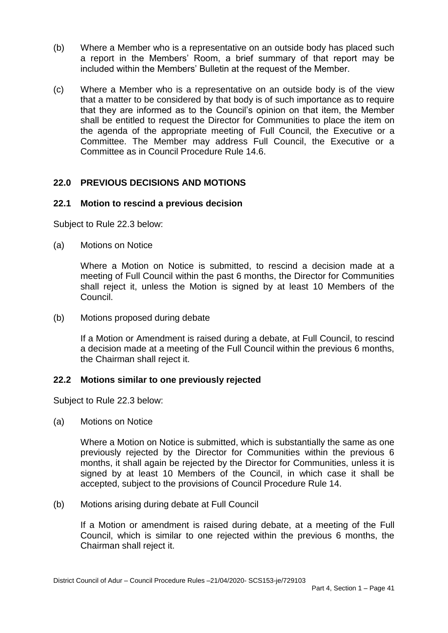- $(b)$  a report in the Members' Room, a brief summary of that report may be Where a Member who is a representative on an outside body has placed such included within the Members' Bulletin at the request of the Member.
- (c) Where a Member who is a representative on an outside body is of the view that a matter to be considered by that body is of such importance as to require that they are informed as to the Council's opinion on that item, the Member shall be entitled to request the Director for Communities to place the item on the agenda of the appropriate meeting of Full Council, the Executive or a Committee. The Member may address Full Council, the Executive or a Committee as in Council Procedure Rule 14.6.

# **22.0 PREVIOUS DECISIONS AND MOTIONS**

## **22.1 Motion to rescind a previous decision**

Subject to Rule 22.3 below:

(a) Motions on Notice

 Where a Motion on Notice is submitted, to rescind a decision made at a meeting of Full Council within the past 6 months, the Director for Communities shall reject it, unless the Motion is signed by at least 10 Members of the Council.

(b) Motions proposed during debate

 If a Motion or Amendment is raised during a debate, at Full Council, to rescind a decision made at a meeting of the Full Council within the previous 6 months, the Chairman shall reject it.

## **22.2 Motions similar to one previously rejected**

Subject to Rule 22.3 below:

(a) Motions on Notice

 Where a Motion on Notice is submitted, which is substantially the same as one previously rejected by the Director for Communities within the previous 6 months, it shall again be rejected by the Director for Communities, unless it is signed by at least 10 Members of the Council, in which case it shall be accepted, subject to the provisions of Council Procedure Rule 14.

(b) Motions arising during debate at Full Council

 Council, which is similar to one rejected within the previous 6 months, the Chairman shall reject it. If a Motion or amendment is raised during debate, at a meeting of the Full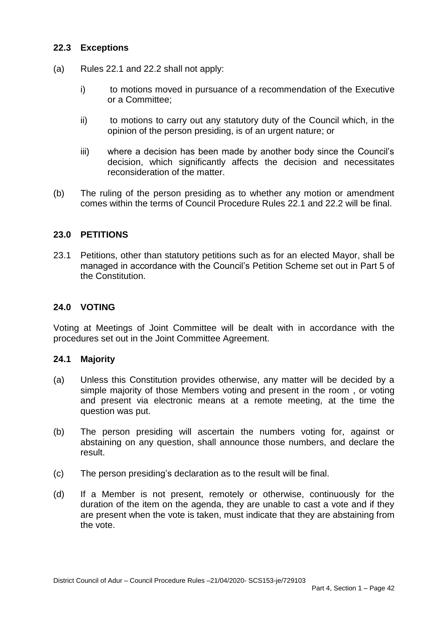#### **22.3 Exceptions**

- (a) Rules 22.1 and 22.2 shall not apply:
	- i) or a Committee; to motions moved in pursuance of a recommendation of the Executive
	- $\mathsf{ii}$  opinion of the person presiding, is of an urgent nature; or to motions to carry out any statutory duty of the Council which, in the
	- iii) where a decision has been made by another body since the Council's decision, which significantly affects the decision and necessitates reconsideration of the matter.
- $(b)$  comes within the terms of Council Procedure Rules 22.1 and 22.2 will be final. The ruling of the person presiding as to whether any motion or amendment

## **23.0 PETITIONS**

 23.1 Petitions, other than statutory petitions such as for an elected Mayor, shall be managed in accordance with the Council's Petition Scheme set out in Part 5 of the Constitution.

## **24.0 VOTING**

 Voting at Meetings of Joint Committee will be dealt with in accordance with the procedures set out in the Joint Committee Agreement.

#### $24.1$ **Majority**

- (a) Unless this Constitution provides otherwise, any matter will be decided by a simple majority of those Members voting and present in the room , or voting and present via electronic means at a remote meeting, at the time the question was put.
- $(b)$  abstaining on any question, shall announce those numbers, and declare the The person presiding will ascertain the numbers voting for, against or result.
- $(c)$ The person presiding's declaration as to the result will be final.
- $(d)$  duration of the item on the agenda, they are unable to cast a vote and if they are present when the vote is taken, must indicate that they are abstaining from If a Member is not present, remotely or otherwise, continuously for the the vote.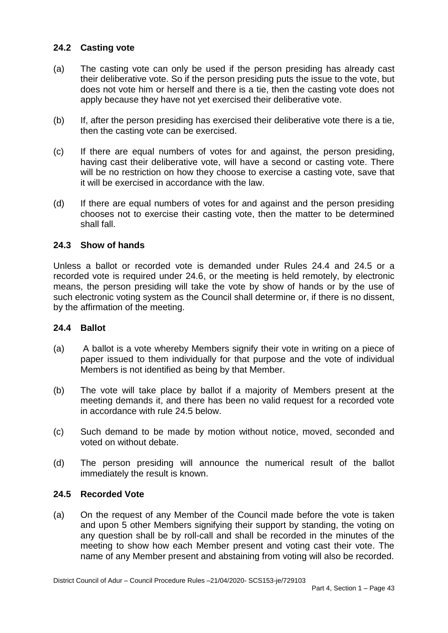# **24.2 Casting vote**

- $(a)$  their deliberative vote. So if the person presiding puts the issue to the vote, but does not vote him or herself and there is a tie, then the casting vote does not The casting vote can only be used if the person presiding has already cast apply because they have not yet exercised their deliberative vote.
- (b) If, after the person presiding has exercised their deliberative vote there is a tie, then the casting vote can be exercised.
- $(c)$  having cast their deliberative vote, will have a second or casting vote. There will be no restriction on how they choose to exercise a casting vote, save that If there are equal numbers of votes for and against, the person presiding, it will be exercised in accordance with the law.
- $(d)$  chooses not to exercise their casting vote, then the matter to be determined shall fall. If there are equal numbers of votes for and against and the person presiding

## **24.3 Show of hands**

 Unless a ballot or recorded vote is demanded under Rules 24.4 and 24.5 or a recorded vote is required under 24.6, or the meeting is held remotely, by electronic means, the person presiding will take the vote by show of hands or by the use of such electronic voting system as the Council shall determine or, if there is no dissent, by the affirmation of the meeting.

## **24.4 Ballot**

- $(a)$  paper issued to them individually for that purpose and the vote of individual A ballot is a vote whereby Members signify their vote in writing on a piece of Members is not identified as being by that Member.
- meeting demands it, and there has been no valid request for a recorded vote (b) The vote will take place by ballot if a majority of Members present at the in accordance with rule 24.5 below.
- $(c)$ Such demand to be made by motion without notice, moved, seconded and voted on without debate.
- $(d)$ The person presiding will announce the numerical result of the ballot immediately the result is known.

## **24.5 Recorded Vote**

 $(a)$  and upon 5 other Members signifying their support by standing, the voting on any question shall be by roll-call and shall be recorded in the minutes of the meeting to show how each Member present and voting cast their vote. The On the request of any Member of the Council made before the vote is taken name of any Member present and abstaining from voting will also be recorded.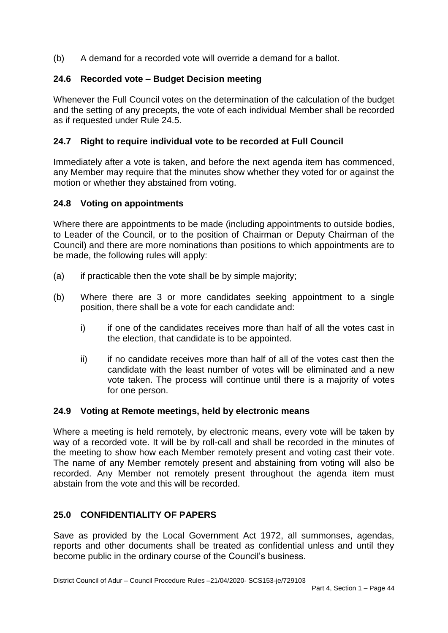(b) A demand for a recorded vote will override a demand for a ballot.

# **24.6 Recorded vote – Budget Decision meeting**

 Whenever the Full Council votes on the determination of the calculation of the budget and the setting of any precepts, the vote of each individual Member shall be recorded as if requested under Rule 24.5.

# **24.7 Right to require individual vote to be recorded at Full Council**

 Immediately after a vote is taken, and before the next agenda item has commenced, any Member may require that the minutes show whether they voted for or against the motion or whether they abstained from voting.

## **24.8 Voting on appointments**

 Where there are appointments to be made (including appointments to outside bodies, to Leader of the Council, or to the position of Chairman or Deputy Chairman of the Council) and there are more nominations than positions to which appointments are to be made, the following rules will apply:

- $(a)$ if practicable then the vote shall be by simple majority;
- (b) Where there are 3 or more candidates seeking appointment to a single position, there shall be a vote for each candidate and:
	- i) the election, that candidate is to be appointed. if one of the candidates receives more than half of all the votes cast in
	- $\mathsf{ii}$  candidate with the least number of votes will be eliminated and a new vote taken. The process will continue until there is a majority of votes if no candidate receives more than half of all of the votes cast then the for one person.

## **24.9 Voting at Remote meetings, held by electronic means**

 Where a meeting is held remotely, by electronic means, every vote will be taken by way of a recorded vote. It will be by roll-call and shall be recorded in the minutes of the meeting to show how each Member remotely present and voting cast their vote. The name of any Member remotely present and abstaining from voting will also be recorded. Any Member not remotely present throughout the agenda item must abstain from the vote and this will be recorded.

# **25.0 CONFIDENTIALITY OF PAPERS**

 Save as provided by the Local Government Act 1972, all summonses, agendas, reports and other documents shall be treated as confidential unless and until they become public in the ordinary course of the Council's business.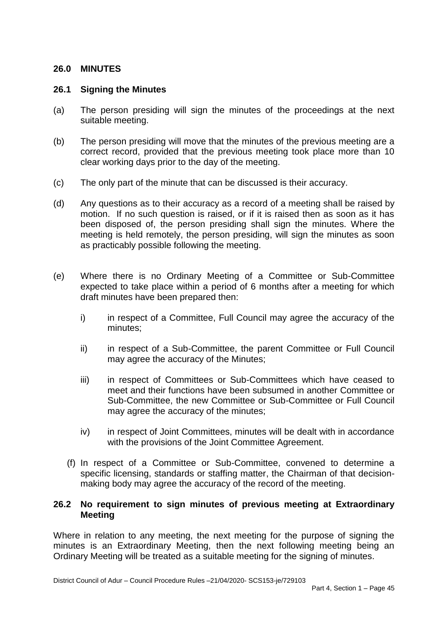## **26.0 MINUTES**

#### **26.1 Signing the Minutes**

- $(a)$ The person presiding will sign the minutes of the proceedings at the next suitable meeting.
- $(b)$  correct record, provided that the previous meeting took place more than 10 clear working days prior to the day of the meeting. The person presiding will move that the minutes of the previous meeting are a
- (c) The only part of the minute that can be discussed is their accuracy.
- $(d)$  motion. If no such question is raised, or if it is raised then as soon as it has been disposed of, the person presiding shall sign the minutes. Where the meeting is held remotely, the person presiding, will sign the minutes as soon Any questions as to their accuracy as a record of a meeting shall be raised by as practicably possible following the meeting.
- $(e)$  expected to take place within a period of 6 months after a meeting for which draft minutes have been prepared then: Where there is no Ordinary Meeting of a Committee or Sub-Committee
	- i) in respect of a Committee, Full Council may agree the accuracy of the minutes;
	- ii) in respect of a Sub-Committee, the parent Committee or Full Council may agree the accuracy of the Minutes;
	- iii) in respect of Committees or Sub-Committees which have ceased to meet and their functions have been subsumed in another Committee or Sub-Committee, the new Committee or Sub-Committee or Full Council may agree the accuracy of the minutes;
	- iv) in respect of Joint Committees, minutes will be dealt with in accordance with the provisions of the Joint Committee Agreement.
	- (f) In respect of a Committee or Sub-Committee, convened to determine a specific licensing, standards or staffing matter, the Chairman of that decision-making body may agree the accuracy of the record of the meeting.

## **26.2 No requirement to sign minutes of previous meeting at Extraordinary Meeting**

 Where in relation to any meeting, the next meeting for the purpose of signing the minutes is an Extraordinary Meeting, then the next following meeting being an Ordinary Meeting will be treated as a suitable meeting for the signing of minutes.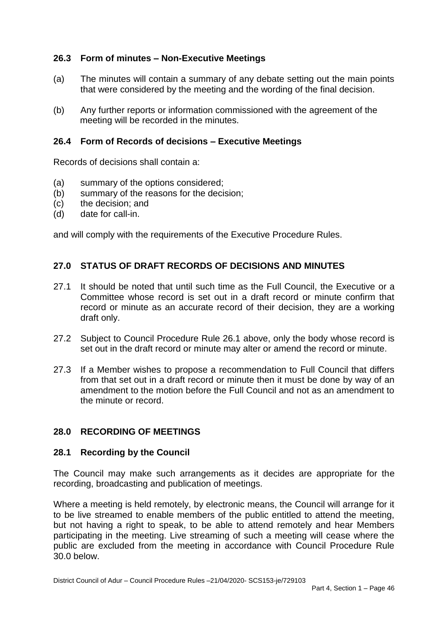## **26.3 Form of minutes – Non-Executive Meetings**

- $(a)$ The minutes will contain a summary of any debate setting out the main points that were considered by the meeting and the wording of the final decision.
- (b) Any further reports or information commissioned with the agreement of the meeting will be recorded in the minutes.

## **26.4 Form of Records of decisions – Executive Meetings**

Records of decisions shall contain a:

- (a) summary of the options considered;
- (b) summary of the reasons for the decision;
- $(c)$ the decision; and
- $(d)$ date for call-in.

and will comply with the requirements of the Executive Procedure Rules.

## **27.0 STATUS OF DRAFT RECORDS OF DECISIONS AND MINUTES**

- $27.1$  Committee whose record is set out in a draft record or minute confirm that record or minute as an accurate record of their decision, they are a working It should be noted that until such time as the Full Council, the Executive or a draft only.
- 27.2 Subject to Council Procedure Rule 26.1 above, only the body whose record is set out in the draft record or minute may alter or amend the record or minute.
- 27.3 from that set out in a draft record or minute then it must be done by way of an amendment to the motion before the Full Council and not as an amendment to the minute or record. If a Member wishes to propose a recommendation to Full Council that differs

## **28.0 RECORDING OF MEETINGS**

#### **28.1 Recording by the Council**

 The Council may make such arrangements as it decides are appropriate for the recording, broadcasting and publication of meetings.

 Where a meeting is held remotely, by electronic means, the Council will arrange for it to be live streamed to enable members of the public entitled to attend the meeting, but not having a right to speak, to be able to attend remotely and hear Members participating in the meeting. Live streaming of such a meeting will cease where the public are excluded from the meeting in accordance with Council Procedure Rule 30.0 below.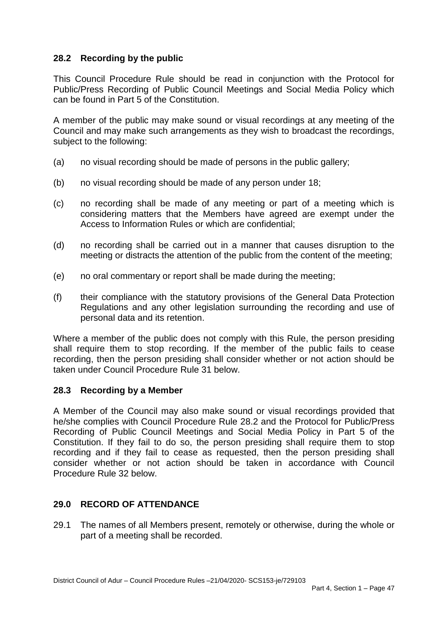# **28.2 Recording by the public**

 This Council Procedure Rule should be read in conjunction with the Protocol for Public/Press Recording of Public Council Meetings and Social Media Policy which can be found in Part 5 of the Constitution.

 A member of the public may make sound or visual recordings at any meeting of the Council and may make such arrangements as they wish to broadcast the recordings, subject to the following:

- (a) no visual recording should be made of persons in the public gallery;
- (b) no visual recording should be made of any person under 18;
- $(c)$  considering matters that the Members have agreed are exempt under the no recording shall be made of any meeting or part of a meeting which is Access to Information Rules or which are confidential;
- $(d)$  meeting or distracts the attention of the public from the content of the meeting; (d) no recording shall be carried out in a manner that causes disruption to the
- (e) no oral commentary or report shall be made during the meeting;
- $(f)$  Regulations and any other legislation surrounding the recording and use of (f) their compliance with the statutory provisions of the General Data Protection personal data and its retention.

 Where a member of the public does not comply with this Rule, the person presiding shall require them to stop recording. If the member of the public fails to cease recording, then the person presiding shall consider whether or not action should be taken under Council Procedure Rule 31 below.

# **28.3 Recording by a Member**

 A Member of the Council may also make sound or visual recordings provided that he/she complies with Council Procedure Rule 28.2 and the Protocol for Public/Press Recording of Public Council Meetings and Social Media Policy in Part 5 of the Constitution. If they fail to do so, the person presiding shall require them to stop recording and if they fail to cease as requested, then the person presiding shall consider whether or not action should be taken in accordance with Council Procedure Rule 32 below.

# **29.0 RECORD OF ATTENDANCE**

 29.1 The names of all Members present, remotely or otherwise, during the whole or part of a meeting shall be recorded.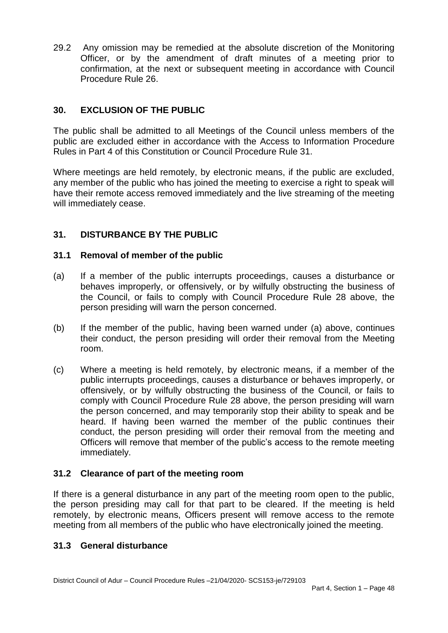$29.2$  Officer, or by the amendment of draft minutes of a meeting prior to confirmation, at the next or subsequent meeting in accordance with Council 29.2 Any omission may be remedied at the absolute discretion of the Monitoring Procedure Rule 26.

# **30. EXCLUSION OF THE PUBLIC**

 The public shall be admitted to all Meetings of the Council unless members of the public are excluded either in accordance with the Access to Information Procedure Rules in Part 4 of this Constitution or Council Procedure Rule 31.

 Where meetings are held remotely, by electronic means, if the public are excluded, any member of the public who has joined the meeting to exercise a right to speak will have their remote access removed immediately and the live streaming of the meeting will immediately cease.

# **31. DISTURBANCE BY THE PUBLIC**

## **31.1 Removal of member of the public**

- $(a)$  behaves improperly, or offensively, or by wilfully obstructing the business of the Council, or fails to comply with Council Procedure Rule 28 above, the person presiding will warn the person concerned. If a member of the public interrupts proceedings, causes a disturbance or
- $(b)$  their conduct, the person presiding will order their removal from the Meeting If the member of the public, having been warned under (a) above, continues room.
- $(c)$  offensively, or by wilfully obstructing the business of the Council, or fails to comply with Council Procedure Rule 28 above, the person presiding will warn the person concerned, and may temporarily stop their ability to speak and be heard. If having been warned the member of the public continues their conduct, the person presiding will order their removal from the meeting and Officers will remove that member of the public's access to the remote meeting Where a meeting is held remotely, by electronic means, if a member of the public interrupts proceedings, causes a disturbance or behaves improperly, or immediately.

# **31.2 Clearance of part of the meeting room**

 If there is a general disturbance in any part of the meeting room open to the public, the person presiding may call for that part to be cleared. If the meeting is held remotely, by electronic means, Officers present will remove access to the remote meeting from all members of the public who have electronically joined the meeting.

## **31.3 General disturbance**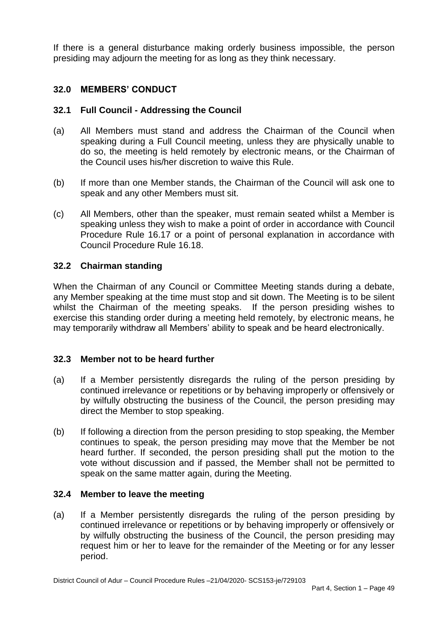If there is a general disturbance making orderly business impossible, the person presiding may adjourn the meeting for as long as they think necessary.

# **32.0 MEMBERS' CONDUCT**

# **32.1 Full Council - Addressing the Council**

- $(a)$  speaking during a Full Council meeting, unless they are physically unable to do so, the meeting is held remotely by electronic means, or the Chairman of the Council uses his/her discretion to waive this Rule. All Members must stand and address the Chairman of the Council when
- $(b)$  speak and any other Members must sit. If more than one Member stands, the Chairman of the Council will ask one to
- $(c)$  speaking unless they wish to make a point of order in accordance with Council Procedure Rule 16.17 or a point of personal explanation in accordance with All Members, other than the speaker, must remain seated whilst a Member is Council Procedure Rule 16.18.

## **32.2 Chairman standing**

 When the Chairman of any Council or Committee Meeting stands during a debate, any Member speaking at the time must stop and sit down. The Meeting is to be silent whilst the Chairman of the meeting speaks. If the person presiding wishes to exercise this standing order during a meeting held remotely, by electronic means, he may temporarily withdraw all Members' ability to speak and be heard electronically.

## **32.3 Member not to be heard further**

- $(a)$  continued irrelevance or repetitions or by behaving improperly or offensively or by wilfully obstructing the business of the Council, the person presiding may If a Member persistently disregards the ruling of the person presiding by direct the Member to stop speaking.
- (b) If following a direction from the person presiding to stop speaking, the Member continues to speak, the person presiding may move that the Member be not heard further. If seconded, the person presiding shall put the motion to the vote without discussion and if passed, the Member shall not be permitted to speak on the same matter again, during the Meeting.

## **32.4 Member to leave the meeting**

 $(a)$  continued irrelevance or repetitions or by behaving improperly or offensively or by wilfully obstructing the business of the Council, the person presiding may request him or her to leave for the remainder of the Meeting or for any lesser If a Member persistently disregards the ruling of the person presiding by period.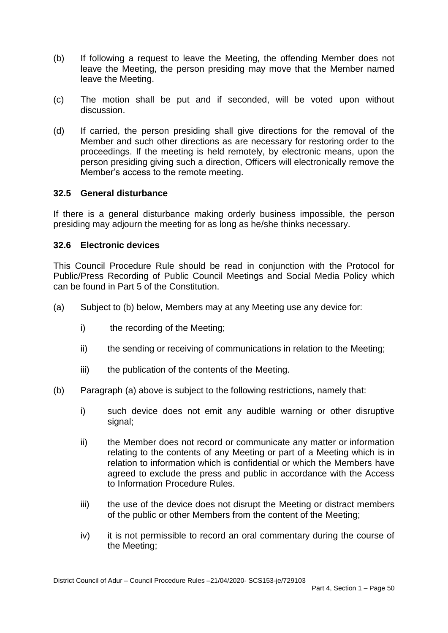- $(b)$  leave the Meeting, the person presiding may move that the Member named If following a request to leave the Meeting, the offending Member does not leave the Meeting.
- $(c)$ The motion shall be put and if seconded, will be voted upon without discussion.
- $(d)$  Member and such other directions as are necessary for restoring order to the proceedings. If the meeting is held remotely, by electronic means, upon the person presiding giving such a direction, Officers will electronically remove the If carried, the person presiding shall give directions for the removal of the Member's access to the remote meeting.

## **32.5 General disturbance**

 If there is a general disturbance making orderly business impossible, the person presiding may adjourn the meeting for as long as he/she thinks necessary.

## **32.6 Electronic devices**

 This Council Procedure Rule should be read in conjunction with the Protocol for Public/Press Recording of Public Council Meetings and Social Media Policy which can be found in Part 5 of the Constitution.

- (a) Subject to (b) below, Members may at any Meeting use any device for:
	- $i)$ the recording of the Meeting;
	- ii) the sending or receiving of communications in relation to the Meeting;
	- iii) the publication of the contents of the Meeting.
- (b) Paragraph (a) above is subject to the following restrictions, namely that:
	- $i)$ such device does not emit any audible warning or other disruptive signal;
	- $\mathsf{ii}$  relating to the contents of any Meeting or part of a Meeting which is in relation to information which is confidential or which the Members have agreed to exclude the press and public in accordance with the Access to Information Procedure Rules the Member does not record or communicate any matter or information
	- $iii)$  of the public or other Members from the content of the Meeting; the use of the device does not disrupt the Meeting or distract members
	- iv) it is not permissible to record an oral commentary during the course of the Meeting;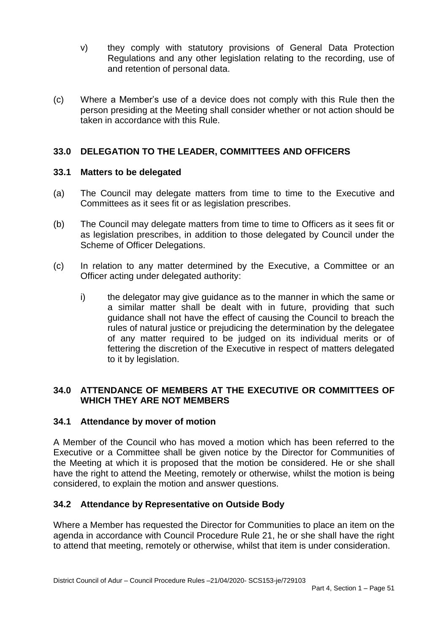- $V)$  Regulations and any other legislation relating to the recording, use of and retention of personal data. they comply with statutory provisions of General Data Protection
- $(c)$  person presiding at the Meeting shall consider whether or not action should be Where a Member's use of a device does not comply with this Rule then the taken in accordance with this Rule.

## **33.0 DELEGATION TO THE LEADER, COMMITTEES AND OFFICERS**

#### **33.1 Matters to be delegated**

- $(a)$  Committees as it sees fit or as legislation prescribes. The Council may delegate matters from time to time to the Executive and
- $(b)$  as legislation prescribes, in addition to those delegated by Council under the The Council may delegate matters from time to time to Officers as it sees fit or Scheme of Officer Delegations.
- $(c)$ In relation to any matter determined by the Executive, a Committee or an Officer acting under delegated authority:
	- i) the delegator may give guidance as to the manner in which the same or a similar matter shall be dealt with in future, providing that such guidance shall not have the effect of causing the Council to breach the rules of natural justice or prejudicing the determination by the delegatee of any matter required to be judged on its individual merits or of fettering the discretion of the Executive in respect of matters delegated to it by legislation.

## **34.0 ATTENDANCE OF MEMBERS AT THE EXECUTIVE OR COMMITTEES OF WHICH THEY ARE NOT MEMBERS**

## **34.1 Attendance by mover of motion**

 A Member of the Council who has moved a motion which has been referred to the Executive or a Committee shall be given notice by the Director for Communities of the Meeting at which it is proposed that the motion be considered. He or she shall have the right to attend the Meeting, remotely or otherwise, whilst the motion is being considered, to explain the motion and answer questions.

## **34.2 Attendance by Representative on Outside Body**

 agenda in accordance with Council Procedure Rule 21, he or she shall have the right Where a Member has requested the Director for Communities to place an item on the to attend that meeting, remotely or otherwise, whilst that item is under consideration.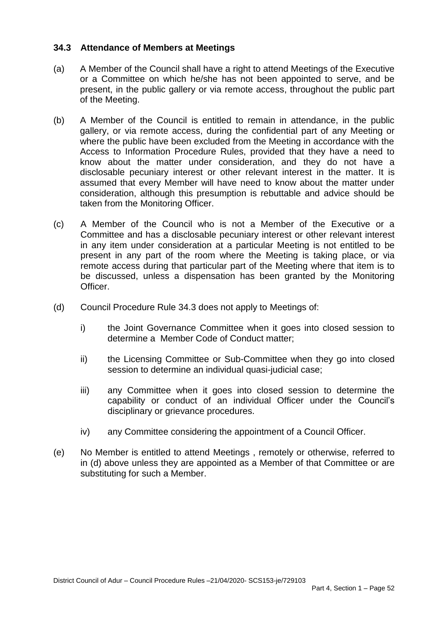#### **34.3 Attendance of Members at Meetings**

- (a) A Member of the Council shall have a right to attend Meetings of the Executive or a Committee on which he/she has not been appointed to serve, and be present, in the public gallery or via remote access, throughout the public part of the Meeting.
- $(b)$  gallery, or via remote access, during the confidential part of any Meeting or where the public have been excluded from the Meeting in accordance with the Access to Information Procedure Rules, provided that they have a need to know about the matter under consideration, and they do not have a disclosable pecuniary interest or other relevant interest in the matter. It is assumed that every Member will have need to know about the matter under consideration, although this presumption is rebuttable and advice should be A Member of the Council is entitled to remain in attendance, in the public taken from the Monitoring Officer.
- $(c)$  Committee and has a disclosable pecuniary interest or other relevant interest in any item under consideration at a particular Meeting is not entitled to be present in any part of the room where the Meeting is taking place, or via remote access during that particular part of the Meeting where that item is to be discussed, unless a dispensation has been granted by the Monitoring (c) A Member of the Council who is not a Member of the Executive or a Officer.
- (d) Council Procedure Rule 34.3 does not apply to Meetings of:
	- $\mathsf{i}$  determine a Member Code of Conduct matter; the Joint Governance Committee when it goes into closed session to
	- $\mathsf{ii}$ the Licensing Committee or Sub-Committee when they go into closed session to determine an individual quasi-judicial case;
	- $iii)$  capability or conduct of an individual Officer under the Council's any Committee when it goes into closed session to determine the disciplinary or grievance procedures.
	- iv) any Committee considering the appointment of a Council Officer.
- (e) No Member is entitled to attend Meetings , remotely or otherwise, referred to in (d) above unless they are appointed as a Member of that Committee or are substituting for such a Member.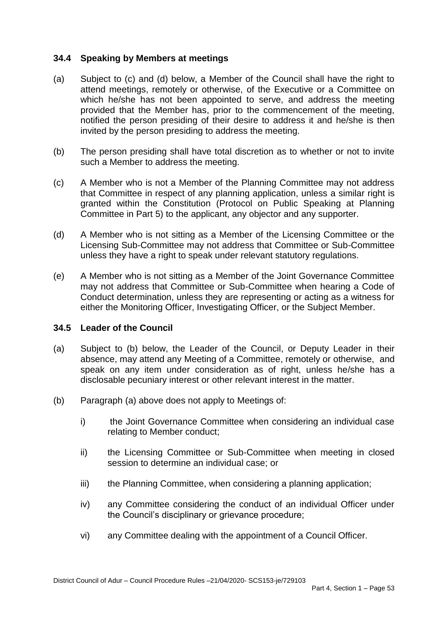#### **34.4 Speaking by Members at meetings**

- $(a)$  attend meetings, remotely or otherwise, of the Executive or a Committee on which he/she has not been appointed to serve, and address the meeting provided that the Member has, prior to the commencement of the meeting, notified the person presiding of their desire to address it and he/she is then invited by the person presiding to address the meeting. Subject to (c) and (d) below, a Member of the Council shall have the right to
- $(b)$  such a Member to address the meeting. The person presiding shall have total discretion as to whether or not to invite
- $(c)$  that Committee in respect of any planning application, unless a similar right is granted within the Constitution (Protocol on Public Speaking at Planning A Member who is not a Member of the Planning Committee may not address Committee in Part 5) to the applicant, any objector and any supporter.
- $(d)$  Licensing Sub-Committee may not address that Committee or Sub-Committee A Member who is not sitting as a Member of the Licensing Committee or the unless they have a right to speak under relevant statutory regulations.
- $(e)$  may not address that Committee or Sub-Committee when hearing a Code of Conduct determination, unless they are representing or acting as a witness for A Member who is not sitting as a Member of the Joint Governance Committee either the Monitoring Officer, Investigating Officer, or the Subject Member.

#### **34.5 Leader of the Council**

- $(a)$  absence, may attend any Meeting of a Committee, remotely or otherwise, and speak on any item under consideration as of right, unless he/she has a Subject to (b) below, the Leader of the Council, or Deputy Leader in their disclosable pecuniary interest or other relevant interest in the matter.
- (b) Paragraph (a) above does not apply to Meetings of:
	- i) the Joint Governance Committee when considering an individual case relating to Member conduct;
	- $\mathsf{ii}$ the Licensing Committee or Sub-Committee when meeting in closed session to determine an individual case; or
	- iii) the Planning Committee, when considering a planning application;
	- $iv)$ any Committee considering the conduct of an individual Officer under the Council's disciplinary or grievance procedure;
	- vi) any Committee dealing with the appointment of a Council Officer.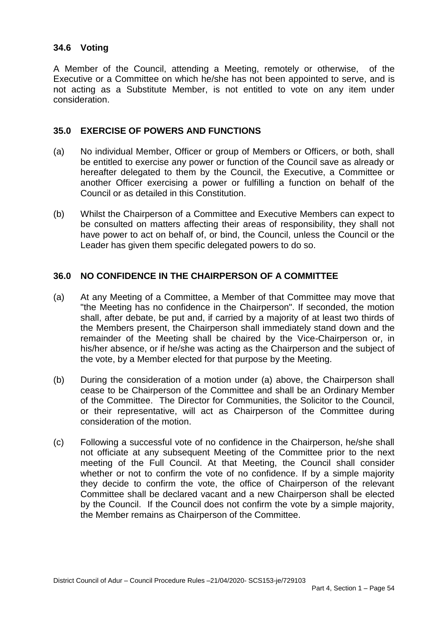## **34.6 Voting**

 A Member of the Council, attending a Meeting, remotely or otherwise, of the Executive or a Committee on which he/she has not been appointed to serve, and is not acting as a Substitute Member, is not entitled to vote on any item under consideration.

## **35.0 EXERCISE OF POWERS AND FUNCTIONS**

- (a) No individual Member, Officer or group of Members or Officers, or both, shall hereafter delegated to them by the Council, the Executive, a Committee or another Officer exercising a power or fulfilling a function on behalf of the be entitled to exercise any power or function of the Council save as already or Council or as detailed in this Constitution.
- (b) Whilst the Chairperson of a Committee and Executive Members can expect to be consulted on matters affecting their areas of responsibility, they shall not have power to act on behalf of, or bind, the Council, unless the Council or the Leader has given them specific delegated powers to do so.

#### **36.0 NO CONFIDENCE IN THE CHAIRPERSON OF A COMMITTEE**

- $(a)$  "the Meeting has no confidence in the Chairperson". If seconded, the motion shall, after debate, be put and, if carried by a majority of at least two thirds of the Members present, the Chairperson shall immediately stand down and the remainder of the Meeting shall be chaired by the Vice-Chairperson or, in his/her absence, or if he/she was acting as the Chairperson and the subject of At any Meeting of a Committee, a Member of that Committee may move that the vote, by a Member elected for that purpose by the Meeting.
- $(b)$  cease to be Chairperson of the Committee and shall be an Ordinary Member of the Committee. The Director for Communities, the Solicitor to the Council, or their representative, will act as Chairperson of the Committee during consideration of the motion. During the consideration of a motion under (a) above, the Chairperson shall
- (c) Following a successful vote of no confidence in the Chairperson, he/she shall not officiate at any subsequent Meeting of the Committee prior to the next meeting of the Full Council. At that Meeting, the Council shall consider whether or not to confirm the vote of no confidence. If by a simple majority they decide to confirm the vote, the office of Chairperson of the relevant Committee shall be declared vacant and a new Chairperson shall be elected by the Council. If the Council does not confirm the vote by a simple majority, the Member remains as Chairperson of the Committee.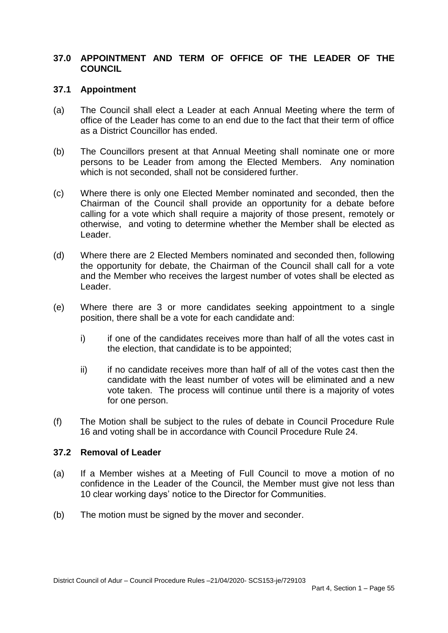## **37.0 APPOINTMENT AND TERM OF OFFICE OF THE LEADER OF THE COUNCIL**

#### **37.1 Appointment**

- $(a)$  office of the Leader has come to an end due to the fact that their term of office The Council shall elect a Leader at each Annual Meeting where the term of as a District Councillor has ended.
- $(b)$  persons to be Leader from among the Elected Members. Any nomination which is not seconded, shall not be considered further. The Councillors present at that Annual Meeting shall nominate one or more
- $(c)$  Chairman of the Council shall provide an opportunity for a debate before calling for a vote which shall require a majority of those present, remotely or otherwise, and voting to determine whether the Member shall be elected as Where there is only one Elected Member nominated and seconded, then the Leader.
- $(d)$  the opportunity for debate, the Chairman of the Council shall call for a vote and the Member who receives the largest number of votes shall be elected as Where there are 2 Elected Members nominated and seconded then, following Leader.
- (e) Where there are 3 or more candidates seeking appointment to a single position, there shall be a vote for each candidate and:
	- $i)$  the election, that candidate is to be appointed; if one of the candidates receives more than half of all the votes cast in
	- $\mathsf{ii}$  candidate with the least number of votes will be eliminated and a new vote taken. The process will continue until there is a majority of votes if no candidate receives more than half of all of the votes cast then the for one person.
- $(f)$  16 and voting shall be in accordance with Council Procedure Rule 24. The Motion shall be subject to the rules of debate in Council Procedure Rule

#### **37.2 Removal of Leader**

- $(a)$  confidence in the Leader of the Council, the Member must give not less than 10 clear working days' notice to the Director for Communities. If a Member wishes at a Meeting of Full Council to move a motion of no
- $(b)$ The motion must be signed by the mover and seconder.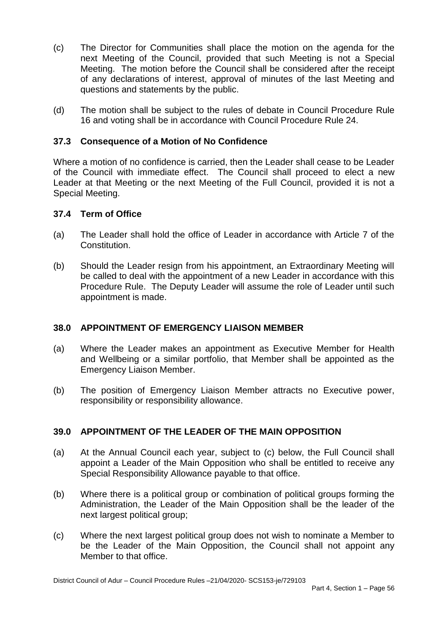- $(c)$  next Meeting of the Council, provided that such Meeting is not a Special Meeting. The motion before the Council shall be considered after the receipt of any declarations of interest, approval of minutes of the last Meeting and The Director for Communities shall place the motion on the agenda for the questions and statements by the public.
- $(d)$ The motion shall be subject to the rules of debate in Council Procedure Rule 16 and voting shall be in accordance with Council Procedure Rule 24.

## **37.3 Consequence of a Motion of No Confidence**

 Where a motion of no confidence is carried, then the Leader shall cease to be Leader of the Council with immediate effect. The Council shall proceed to elect a new Leader at that Meeting or the next Meeting of the Full Council, provided it is not a Special Meeting.

#### **37.4 Term of Office**

- $(a)$ The Leader shall hold the office of Leader in accordance with Article 7 of the **Constitution**
- $(b)$  be called to deal with the appointment of a new Leader in accordance with this Procedure Rule. The Deputy Leader will assume the role of Leader until such appointment is made. Should the Leader resign from his appointment, an Extraordinary Meeting will

## **38.0 APPOINTMENT OF EMERGENCY LIAISON MEMBER**

- $(a)$  and Wellbeing or a similar portfolio, that Member shall be appointed as the **Emergency Liaison Member.** Where the Leader makes an appointment as Executive Member for Health
- $(b)$ The position of Emergency Liaison Member attracts no Executive power, responsibility or responsibility allowance.

## **39.0 APPOINTMENT OF THE LEADER OF THE MAIN OPPOSITION**

- $(a)$  appoint a Leader of the Main Opposition who shall be entitled to receive any At the Annual Council each year, subject to (c) below, the Full Council shall Special Responsibility Allowance payable to that office.
- $(b)$  Administration, the Leader of the Main Opposition shall be the leader of the next largest political group: Where there is a political group or combination of political groups forming the
- $(c)$  be the Leader of the Main Opposition, the Council shall not appoint any Where the next largest political group does not wish to nominate a Member to Member to that office.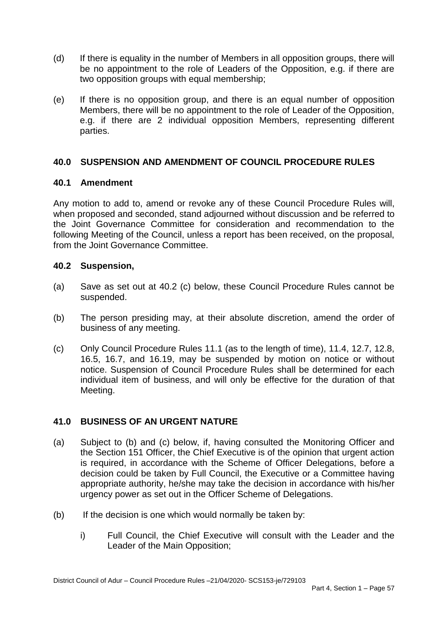- $(d)$  be no appointment to the role of Leaders of the Opposition, e.g. if there are If there is equality in the number of Members in all opposition groups, there will two opposition groups with equal membership;
- (e) Members, there will be no appointment to the role of Leader of the Opposition, e.g. if there are 2 individual opposition Members, representing different If there is no opposition group, and there is an equal number of opposition parties.

## **40.0 SUSPENSION AND AMENDMENT OF COUNCIL PROCEDURE RULES**

## **40.1 Amendment**

 Any motion to add to, amend or revoke any of these Council Procedure Rules will, when proposed and seconded, stand adjourned without discussion and be referred to the Joint Governance Committee for consideration and recommendation to the following Meeting of the Council, unless a report has been received, on the proposal, from the Joint Governance Committee.

## **40.2 Suspension,**

- $(a)$ Save as set out at 40.2 (c) below, these Council Procedure Rules cannot be suspended.
- $(b)$ The person presiding may, at their absolute discretion, amend the order of business of any meeting.
- $(c)$  16.5, 16.7, and 16.19, may be suspended by motion on notice or without notice. Suspension of Council Procedure Rules shall be determined for each individual item of business, and will only be effective for the duration of that Only Council Procedure Rules 11.1 (as to the length of time), 11.4, 12.7, 12.8, Meeting.

# **41.0 BUSINESS OF AN URGENT NATURE**

- $(a)$  the Section 151 Officer, the Chief Executive is of the opinion that urgent action is required, in accordance with the Scheme of Officer Delegations, before a decision could be taken by Full Council, the Executive or a Committee having appropriate authority, he/she may take the decision in accordance with his/her urgency power as set out in the Officer Scheme of Delegations.<br>(b) If the decision is one which would normally be taken by: Subject to (b) and (c) below, if, having consulted the Monitoring Officer and
- $(b)$ 
	- i) Full Council, the Chief Executive will consult with the Leader and the Leader of the Main Opposition;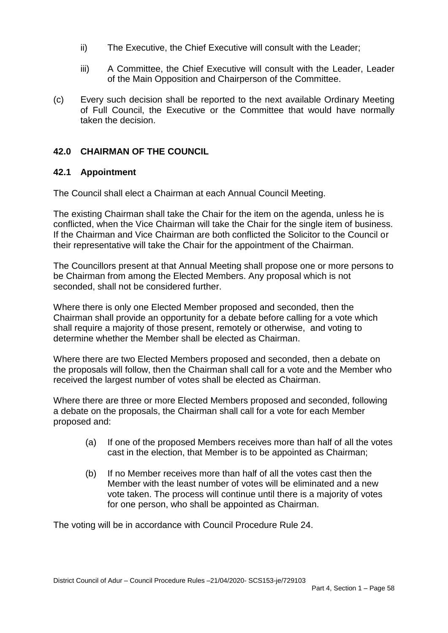- ii) The Executive, the Chief Executive will consult with the Leader;
- $iii)$ A Committee, the Chief Executive will consult with the Leader, Leader of the Main Opposition and Chairperson of the Committee.
- $(c)$  of Full Council, the Executive or the Committee that would have normally Every such decision shall be reported to the next available Ordinary Meeting taken the decision.

# **42.0 CHAIRMAN OF THE COUNCIL**

## **42.1 Appointment**

The Council shall elect a Chairman at each Annual Council Meeting.

The Council shall elect a Chairman at each Annual Council Meeting.<br>The existing Chairman shall take the Chair for the item on the agenda, unless he is If the Chairman and Vice Chairman are both conflicted the Solicitor to the Council or their representative will take the Chair for the appointment of the Chairman. conflicted, when the Vice Chairman will take the Chair for the single item of business.

 seconded, shall not be considered further. The Councillors present at that Annual Meeting shall propose one or more persons to be Chairman from among the Elected Members. Any proposal which is not

 Where there is only one Elected Member proposed and seconded, then the Chairman shall provide an opportunity for a debate before calling for a vote which shall require a majority of those present, remotely or otherwise, and voting to determine whether the Member shall be elected as Chairman.

 Where there are two Elected Members proposed and seconded, then a debate on the proposals will follow, then the Chairman shall call for a vote and the Member who received the largest number of votes shall be elected as Chairman.

 proposed and: Where there are three or more Elected Members proposed and seconded, following a debate on the proposals, the Chairman shall call for a vote for each Member

- (a) If one of the proposed Members receives more than half of all the votes cast in the election, that Member is to be appointed as Chairman;
- (b) If no Member receives more than half of all the votes cast then the Member with the least number of votes will be eliminated and a new vote taken. The process will continue until there is a majority of votes for one person, who shall be appointed as Chairman.

The voting will be in accordance with Council Procedure Rule 24.